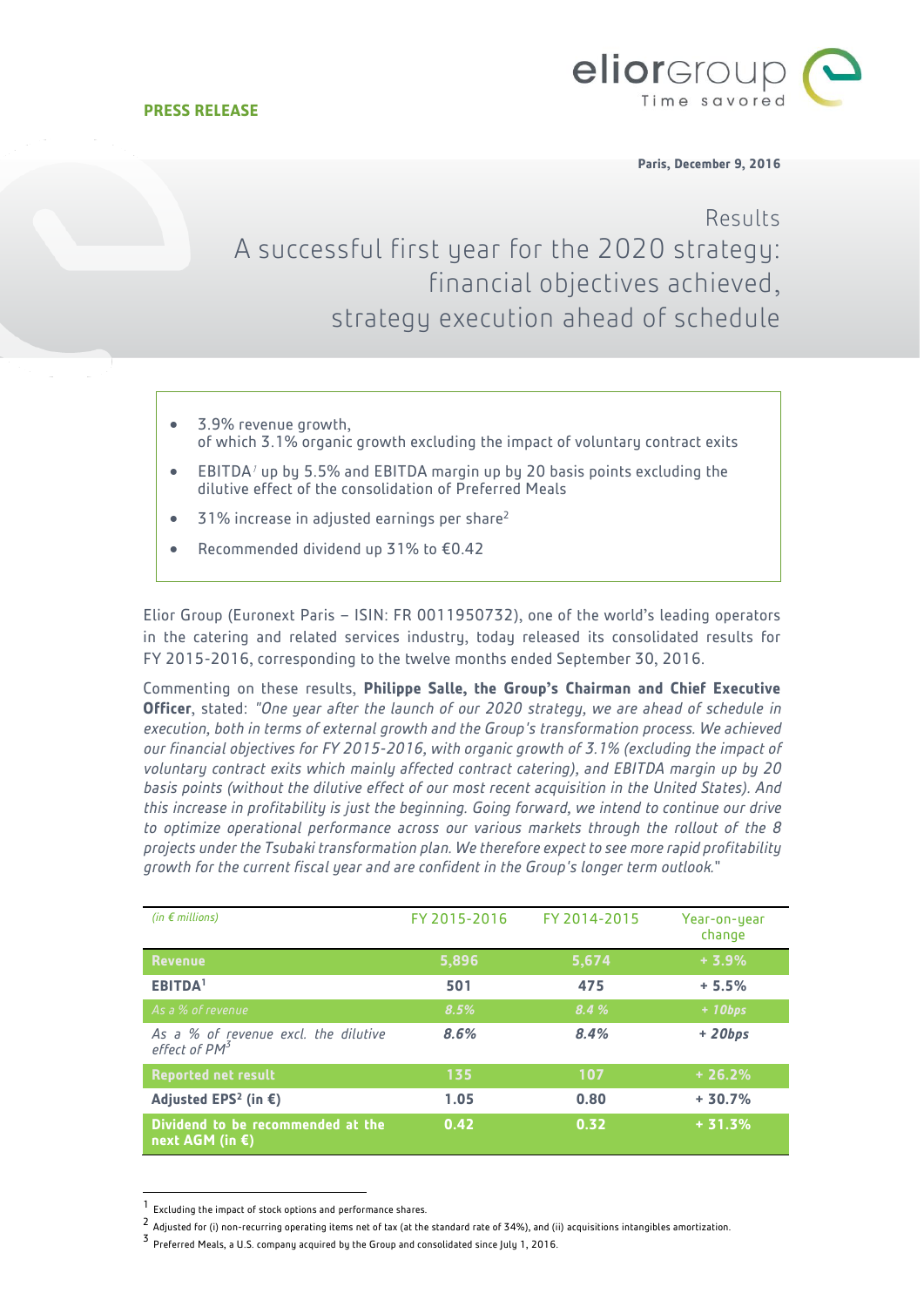

**Paris, December 9, 2016**

# Results A successful first year for the 2020 strategy: financial objectives achieved, strategy execution ahead of schedule

- 3.9% revenue growth, of which 3.1% organic growth excluding the impact of voluntary contract exits
- EBITDA<sup> $1$ </sup> up by 5.5% and EBITDA margin up by 20 basis points excluding the dilutive effect of the consolidation of Preferred Meals
- 31% increase in adjusted earnings per share<sup>2</sup>
- Recommended dividend up 31% to €0.42

Elior Group (Euronext Paris – ISIN: FR 0011950732), one of the world's leading operators in the catering and related services industry, today released its consolidated results for FY 2015-2016, corresponding to the twelve months ended September 30, 2016.

Commenting on these results, **Philippe Salle, the Group's Chairman and Chief Executive Officer**, stated: *"One year after the launch of our 2020 strategy, we are ahead of schedule in execution, both in terms of external growth and the Group's transformation process. We achieved our financial objectives for FY 2015-2016, with organic growth of 3.1% (excluding the impact of voluntary contract exits which mainly affected contract catering), and EBITDA margin up by 20 basis points (without the dilutive effect of our most recent acquisition in the United States). And this increase in profitability is just the beginning. Going forward, we intend to continue our drive to optimize operational performance across our various markets through the rollout of the 8 projects under the Tsubaki transformation plan. We therefore expect to see more rapid profitability growth for the current fiscal year and are confident in the Group's longer term outlook.*"

| (in $\epsilon$ millions)                                          | FY 2015-2016 | FY 2014-2015 | Year-on-year<br>change |
|-------------------------------------------------------------------|--------------|--------------|------------------------|
| <b>Revenue</b>                                                    | 5,896        | 5,674        | $+3.9%$                |
| <b>EBITDA</b> 1                                                   | 501          | 475          | $+5.5%$                |
| As a % of revenue                                                 | 8.5%         | 8.4%         | $+ 10bps$              |
| As a % of revenue excl. the dilutive<br>effect of PM <sup>3</sup> | 8.6%         | 8.4%         | $+ 20bps$              |
| <b>Reported net result</b>                                        | 135          | 107          | $+26.2%$               |
| Adjusted EPS <sup>2</sup> (in $\epsilon$ )                        | 1.05         | 0.80         | $+30.7%$               |
| Dividend to be recommended at the<br>next AGM (in €)              | 0.42         | 0.32         | $+31.3%$               |

<sup>1</sup> Excluding the impact of stock options and performance shares.

l

 $^2$  Adjusted for (i) non-recurring operating items net of tax (at the standard rate of 34%), and (ii) acquisitions intangibles amortization.

<sup>3</sup> Preferred Meals, a U.S. company acquired by the Group and consolidated since July 1, 2016.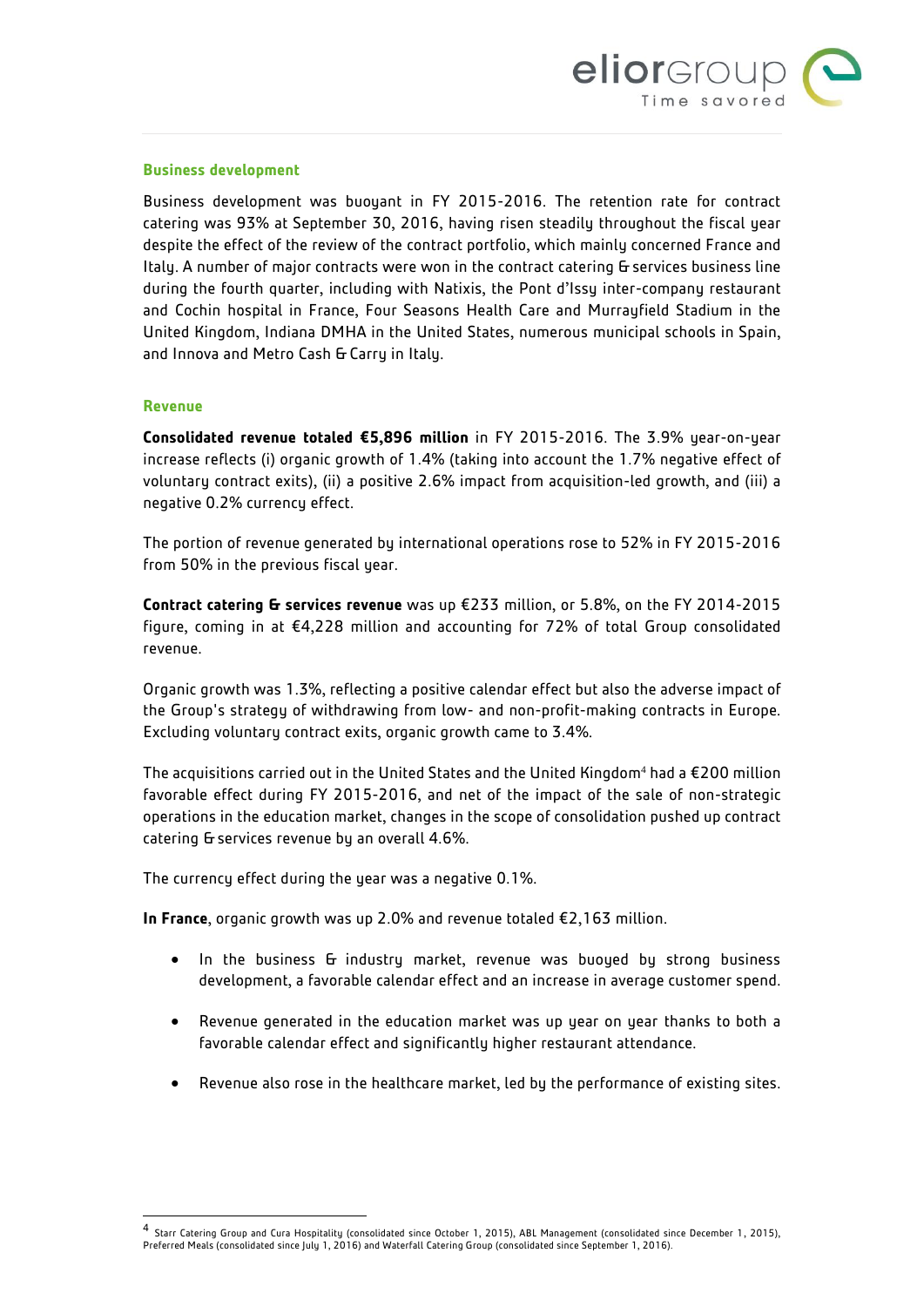

#### **Business development**

Business development was buoyant in FY 2015-2016. The retention rate for contract catering was 93% at September 30, 2016, having risen steadily throughout the fiscal year despite the effect of the review of the contract portfolio, which mainly concerned France and Italy. A number of major contracts were won in the contract catering & services business line during the fourth quarter, including with Natixis, the Pont d'Issy inter-company restaurant and Cochin hospital in France, Four Seasons Health Care and Murrayfield Stadium in the United Kingdom, Indiana DMHA in the United States, numerous municipal schools in Spain, and Innova and Metro Cash & Carry in Italy.

#### **Revenue**

 $\overline{\phantom{a}}$ 

**Consolidated revenue totaled €5,896 million** in FY 2015-2016. The 3.9% year-on-year increase reflects (i) organic growth of 1.4% (taking into account the 1.7% negative effect of voluntary contract exits), (ii) a positive 2.6% impact from acquisition-led growth, and (iii) a negative 0.2% currency effect.

The portion of revenue generated by international operations rose to 52% in FY 2015-2016 from 50% in the previous fiscal year.

**Contract catering & services revenue** was up €233 million, or 5.8%, on the FY 2014-2015 figure, coming in at €4,228 million and accounting for 72% of total Group consolidated revenue.

Organic growth was 1.3%, reflecting a positive calendar effect but also the adverse impact of the Group's strategy of withdrawing from low- and non-profit-making contracts in Europe. Excluding voluntary contract exits, organic growth came to 3.4%.

The acquisitions carried out in the United States and the United Kingdom<sup>4</sup> had a  $E$ 200 million favorable effect during FY 2015-2016, and net of the impact of the sale of non-strategic operations in the education market, changes in the scope of consolidation pushed up contract catering & services revenue by an overall 4.6%.

The currency effect during the year was a negative 0.1%.

**In France**, organic growth was up 2.0% and revenue totaled €2,163 million.

- In the business & industry market, revenue was buoyed by strong business development, a favorable calendar effect and an increase in average customer spend.
- Revenue generated in the education market was up year on year thanks to both a favorable calendar effect and significantly higher restaurant attendance.
- Revenue also rose in the healthcare market, led by the performance of existing sites.

<sup>4</sup> Starr Catering Group and Cura Hospitality (consolidated since October 1, 2015), ABL Management (consolidated since December 1, 2015), Preferred Meals (consolidated since July 1, 2016) and Waterfall Catering Group (consolidated since September 1, 2016).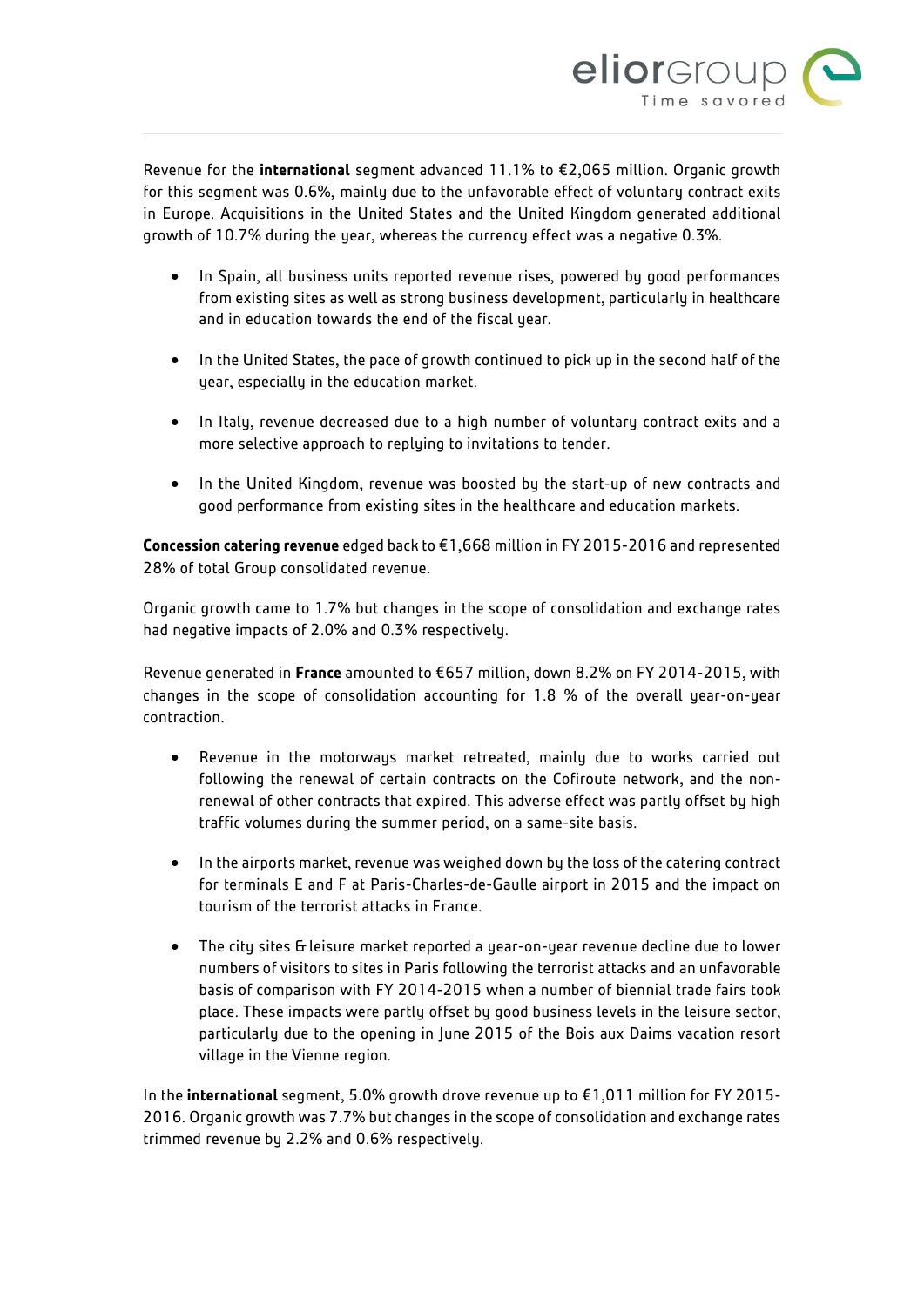

Revenue for the **international** segment advanced 11.1% to €2,065 million. Organic growth for this segment was 0.6%, mainly due to the unfavorable effect of voluntary contract exits in Europe. Acquisitions in the United States and the United Kingdom generated additional growth of 10.7% during the year, whereas the currency effect was a negative 0.3%.

- In Spain, all business units reported revenue rises, powered by good performances from existing sites as well as strong business development, particularly in healthcare and in education towards the end of the fiscal year.
- In the United States, the pace of growth continued to pick up in the second half of the year, especially in the education market.
- In Italy, revenue decreased due to a high number of voluntary contract exits and a more selective approach to replying to invitations to tender.
- In the United Kingdom, revenue was boosted by the start-up of new contracts and good performance from existing sites in the healthcare and education markets.

**Concession catering revenue** edged back to €1,668 million in FY 2015-2016 and represented 28% of total Group consolidated revenue.

Organic growth came to 1.7% but changes in the scope of consolidation and exchange rates had negative impacts of 2.0% and 0.3% respectively.

Revenue generated in **France** amounted to €657 million, down 8.2% on FY 2014-2015, with changes in the scope of consolidation accounting for 1.8 % of the overall year-on-year contraction.

- Revenue in the motorwaus market retreated, mainlu due to works carried out following the renewal of certain contracts on the Cofiroute network, and the nonrenewal of other contracts that expired. This adverse effect was partly offset by high traffic volumes during the summer period, on a same-site basis.
- In the airports market, revenue was weighed down by the loss of the catering contract for terminals E and F at Paris-Charles-de-Gaulle airport in 2015 and the impact on tourism of the terrorist attacks in France.
- The city sites & leisure market reported a year-on-year revenue decline due to lower numbers of visitors to sites in Paris following the terrorist attacks and an unfavorable basis of comparison with FY 2014-2015 when a number of biennial trade fairs took place. These impacts were partly offset by good business levels in the leisure sector, particularly due to the opening in June 2015 of the Bois aux Daims vacation resort village in the Vienne region.

In the **international** segment, 5.0% growth drove revenue up to €1,011 million for FY 2015- 2016. Organic growth was 7.7% but changes in the scope of consolidation and exchange rates trimmed revenue by 2.2% and 0.6% respectively.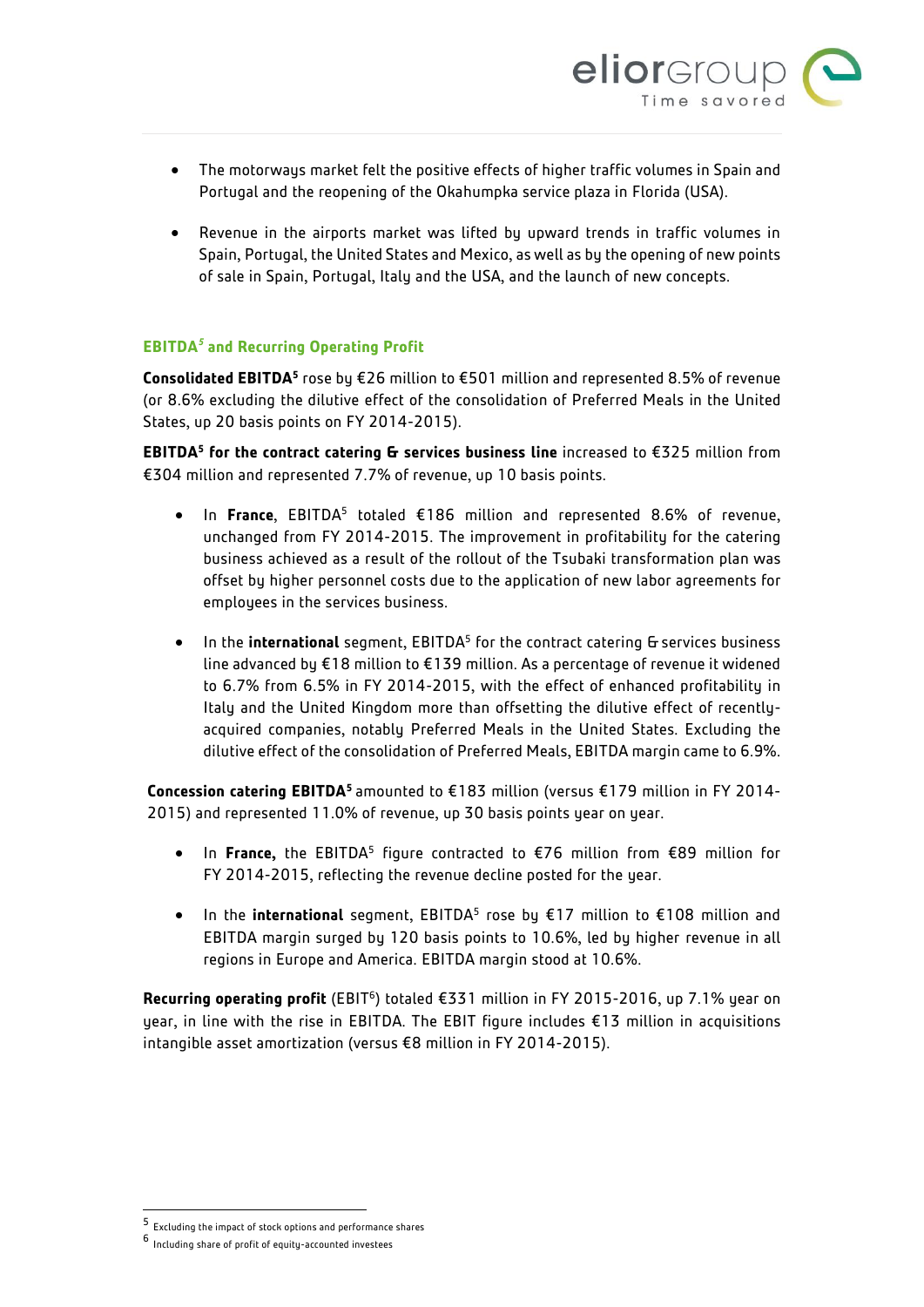

- The motorways market felt the positive effects of higher traffic volumes in Spain and Portugal and the reopening of the Okahumpka service plaza in Florida (USA).
- Revenue in the airports market was lifted by upward trends in traffic volumes in Spain, Portugal, the United States and Mexico, as well as by the opening of new points of sale in Spain, Portugal, Italy and the USA, and the launch of new concepts.

### **EBITDA***<sup>5</sup>* **and Recurring Operating Profit**

Consolidated EBITDA<sup>5</sup> rose by €26 million to €501 million and represented 8.5% of revenue (or 8.6% excluding the dilutive effect of the consolidation of Preferred Meals in the United States, up 20 basis points on FY 2014-2015).

**EBITDA<sup>5</sup> for the contract catering & services business line** increased to €325 million from €304 million and represented 7.7% of revenue, up 10 basis points.

- In France, EBITDA<sup>5</sup> totaled €186 million and represented 8.6% of revenue, unchanged from FY 2014-2015. The improvement in profitability for the catering business achieved as a result of the rollout of the Tsubaki transformation plan was offset by higher personnel costs due to the application of new labor agreements for employees in the services business.
- In the **international** segment, EBITDA<sup>5</sup> for the contract catering G services business line advanced by €18 million to €139 million. As a percentage of revenue it widened to 6.7% from 6.5% in FY 2014-2015, with the effect of enhanced profitability in Italy and the United Kingdom more than offsetting the dilutive effect of recentlyacquired companies, notably Preferred Meals in the United States. Excluding the dilutive effect of the consolidation of Preferred Meals, EBITDA margin came to 6.9%.

**Concession catering EBITDA<sup>5</sup>**amounted to €183 million (versus €179 million in FY 2014- 2015) and represented 11.0% of revenue, up 30 basis points year on year.

- In **France,** the EBITDA<sup>5</sup> figure contracted to €76 million from €89 million for FY 2014-2015, reflecting the revenue decline posted for the year.
- In the **international** segment, EBITDA<sup>5</sup> rose by €17 million to €108 million and EBITDA margin surged by 120 basis points to 10.6%, led by higher revenue in all regions in Europe and America. EBITDA margin stood at 10.6%.

Recurring operating profit (EBIT<sup>6</sup>) totaled €331 million in FY 2015-2016, up 7.1% year on year, in line with the rise in EBITDA. The EBIT figure includes €13 million in acquisitions intangible asset amortization (versus €8 million in FY 2014-2015).

 $\overline{\phantom{a}}$ 

<sup>5</sup> Excluding the impact of stock options and performance shares

<sup>6</sup> Including share of profit of equity-accounted investees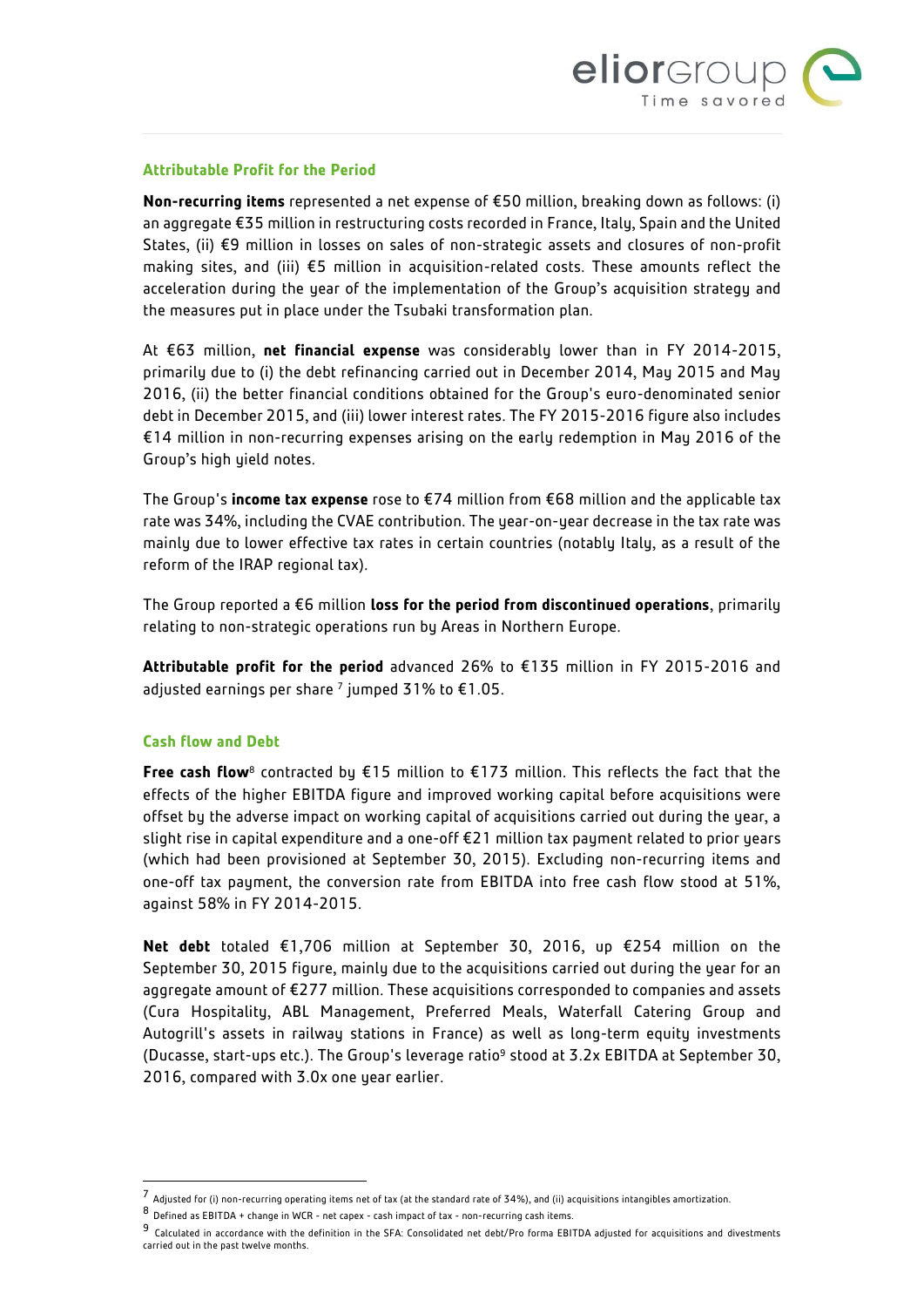

#### **Attributable Profit for the Period**

**Non-recurring items** represented a net expense of €50 million, breaking down as follows: (i) an aggregate €35 million in restructuring costs recorded in France, Italy, Spain and the United States, (ii) €9 million in losses on sales of non-strategic assets and closures of non-profit making sites, and (iii) €5 million in acquisition-related costs. These amounts reflect the acceleration during the year of the implementation of the Group's acquisition strategy and the measures put in place under the Tsubaki transformation plan.

At €63 million, **net financial expense** was considerably lower than in FY 2014-2015, primarily due to (i) the debt refinancing carried out in December 2014, May 2015 and May 2016, (ii) the better financial conditions obtained for the Group's euro-denominated senior debt in December 2015, and (iii) lower interest rates. The FY 2015-2016 figure also includes €14 million in non-recurring expenses arising on the early redemption in May 2016 of the Group's high yield notes.

The Group's **income tax expense** rose to €74 million from €68 million and the applicable tax rate was 34%, including the CVAE contribution. The year-on-year decrease in the tax rate was mainly due to lower effective tax rates in certain countries (notably Italy, as a result of the reform of the IRAP regional tax).

The Group reported a €6 million **loss for the period from discontinued operations**, primarily relating to non-strategic operations run by Areas in Northern Europe.

**Attributable profit for the period** advanced 26% to €135 million in FY 2015-2016 and adjusted earnings per share  $^7$  jumped 31% to  $\epsilon$ 1.05.

#### **Cash flow and Debt**

l

**Free cash flow**<sup>8</sup> contracted by €15 million to €173 million. This reflects the fact that the effects of the higher EBITDA figure and improved working capital before acquisitions were offset by the adverse impact on working capital of acquisitions carried out during the year, a slight rise in capital expenditure and a one-off €21 million tax payment related to prior years (which had been provisioned at September 30, 2015). Excluding non-recurring items and one-off tax payment, the conversion rate from EBITDA into free cash flow stood at 51%, against 58% in FY 2014-2015.

**Net debt** totaled €1,706 million at September 30, 2016, up €254 million on the September 30, 2015 figure, mainly due to the acquisitions carried out during the year for an aggregate amount of €277 million. These acquisitions corresponded to companies and assets (Cura Hospitality, ABL Management, Preferred Meals, Waterfall Catering Group and Autogrill's assets in railway stations in France) as well as long-term equity investments (Ducasse, start-ups etc.). The Group's leverage ratio<sup>9</sup> stood at 3.2x EBITDA at September 30, 2016, compared with 3.0x one year earlier.

 $^7$  Adjusted for (i) non-recurring operating items net of tax (at the standard rate of 34%), and (ii) acquisitions intangibles amortization.

<sup>8</sup> Defined as EBITDA + change in WCR - net capex - cash impact of tax - non-recurring cash items.

<sup>9</sup> Calculated in accordance with the definition in the SFA: Consolidated net debt/Pro forma EBITDA adjusted for acquisitions and divestments carried out in the past twelve months.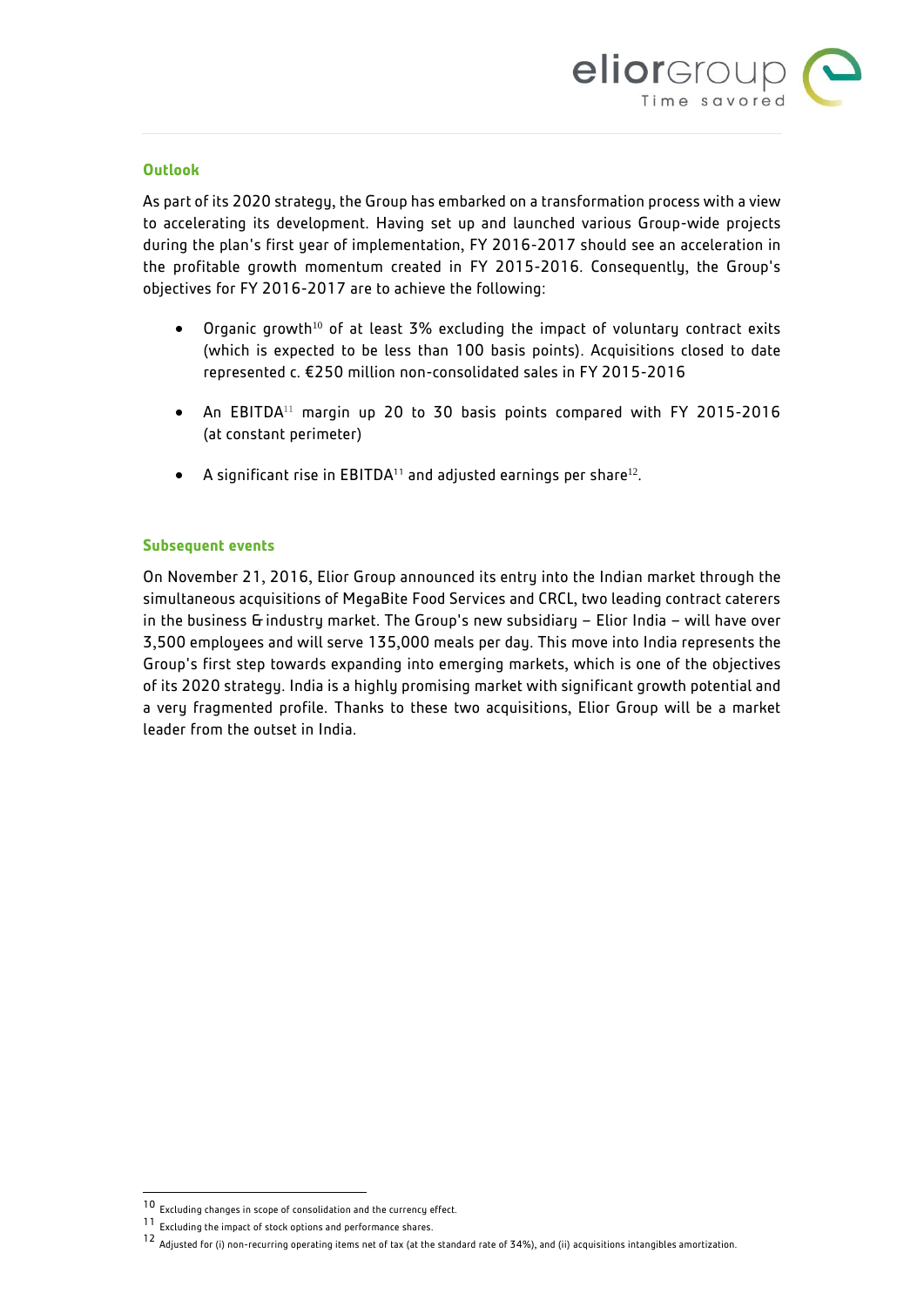

### **Outlook**

As part of its 2020 strategy, the Group has embarked on a transformation process with a view to accelerating its development. Having set up and launched various Group-wide projects during the plan's first year of implementation, FY 2016-2017 should see an acceleration in the profitable growth momentum created in FY 2015-2016. Consequently, the Group's objectives for FY 2016-2017 are to achieve the following:

- Organic growth<sup>10</sup> of at least 3% excluding the impact of voluntary contract exits (which is expected to be less than 100 basis points). Acquisitions closed to date represented c. €250 million non-consolidated sales in FY 2015-2016
- An EBITDA<sup>11</sup> margin up 20 to 30 basis points compared with FY 2015-2016 (at constant perimeter)
- $\bullet$  A significant rise in EBITDA<sup>11</sup> and adjusted earnings per share<sup>12</sup>.

#### **Subsequent events**

On November 21, 2016, Elior Group announced its entry into the Indian market through the simultaneous acquisitions of MegaBite Food Services and CRCL, two leading contract caterers in the business & industry market. The Group's new subsidiary – Elior India – will have over 3,500 employees and will serve 135,000 meals per day. This move into India represents the Group's first step towards expanding into emerging markets, which is one of the objectives of its 2020 strategy. India is a highly promising market with significant growth potential and a very fragmented profile. Thanks to these two acquisitions, Elior Group will be a market leader from the outset in India.

l

 $10$  Excluding changes in scope of consolidation and the currency effect.

<sup>11</sup> Excluding the impact of stock options and performance shares.

<sup>12</sup> Adjusted for (i) non-recurring operating items net of tax (at the standard rate of 34%), and (ii) acquisitions intangibles amortization.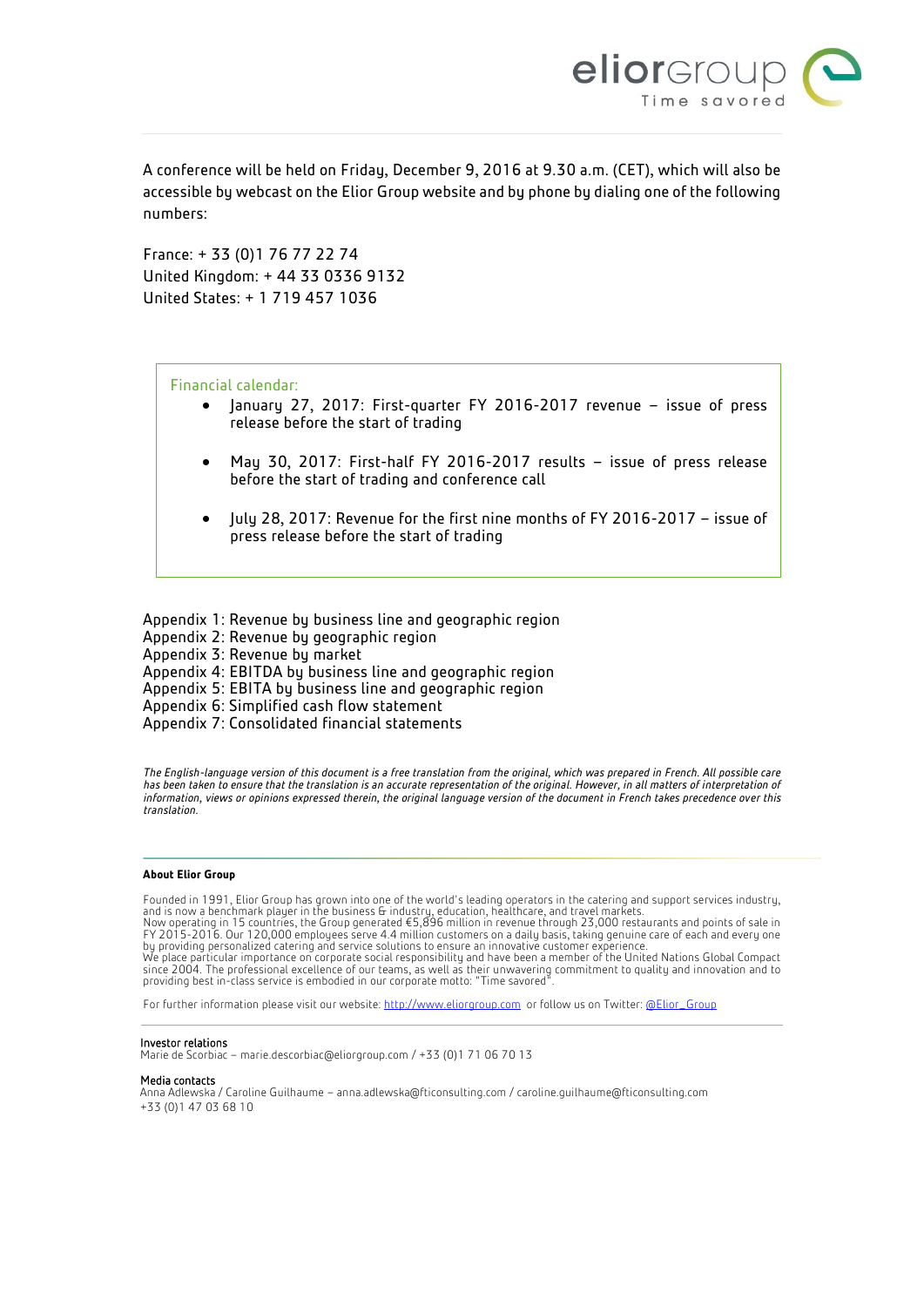

A conference will be held on Friday, December 9, 2016 at 9.30 a.m. (CET), which will also be accessible by webcast on the Elior Group website and by phone by dialing one of the following numbers:

France: + 33 (0)1 76 77 22 74 United Kingdom: + 44 33 0336 9132 United States: + 1 719 457 1036

Financial calendar:

- January 27, 2017: First-quarter FY 2016-2017 revenue issue of press release before the start of trading
- May 30, 2017: First-half FY 2016-2017 results issue of press release before the start of trading and conference call
- July 28, 2017: Revenue for the first nine months of FY 2016-2017 issue of press release before the start of trading

Appendix 1: Revenue by business line and geographic region Appendix 2: Revenue by geographic region Appendix 3: Revenue by market Appendix 4: EBITDA by business line and geographic region Appendix 5: EBITA by business line and geographic region Appendix 6: Simplified cash flow statement Appendix 7: Consolidated financial statements

*The English-language version of this document is a free translation from the original, which was prepared in French. All possible care*  has been taken to ensure that the translation is an accurate representation of the original. However, in all matters of interpretation of *information, views or opinions expressed therein, the original language version of the document in French takes precedence over this translation.*

#### **About Elior Group**

Founded in 1991, Elior Group has grown into one of the world's leading operators in the catering and support services industry,<br>and is now a benchmark player in the business & industry, education, healthcare, and travel ma

Now operating in 15 countries, the Group generated €5,896 million in revenue through 23,000 restaurants and points of sale in FY 2015-2016. Our 120,000 employees serve 4.4 million customers on a daily basis, taking genuine care of each and every one<br>by providing personalized catering and service solutions to ensure an innovative customer experien

We place particular importance on corporate social responsibility and have been a member of the United Nations Global Compact since 2004. The professional excellence of our teams, as well as their unwavering commitment to quality and innovation and to providing best in-class service is embodied in our corporate motto: "Time savored".

For further information please visit our website[: http://www.eliorgroup.com](http://www.eliorgroup.com/) or follow us on Twitter[: @Elior\\_Group](https://twitter.com/Elior_Group)

#### Investor relations

Marie de Scorbiac – marie.descorbiac@eliorgroup.com / +33 (0)1 71 06 70 13

#### Media contacts

Anna Adlewska / Caroline Guilhaume – [anna.adlewska@fticonsulting.com](mailto:anna.adlewska@fticonsulting.com) [/ caroline.guilhaume@fticonsulting.com](mailto:caroline.guilhaume@fticonsulting.com) +33 (0)1 47 03 68 10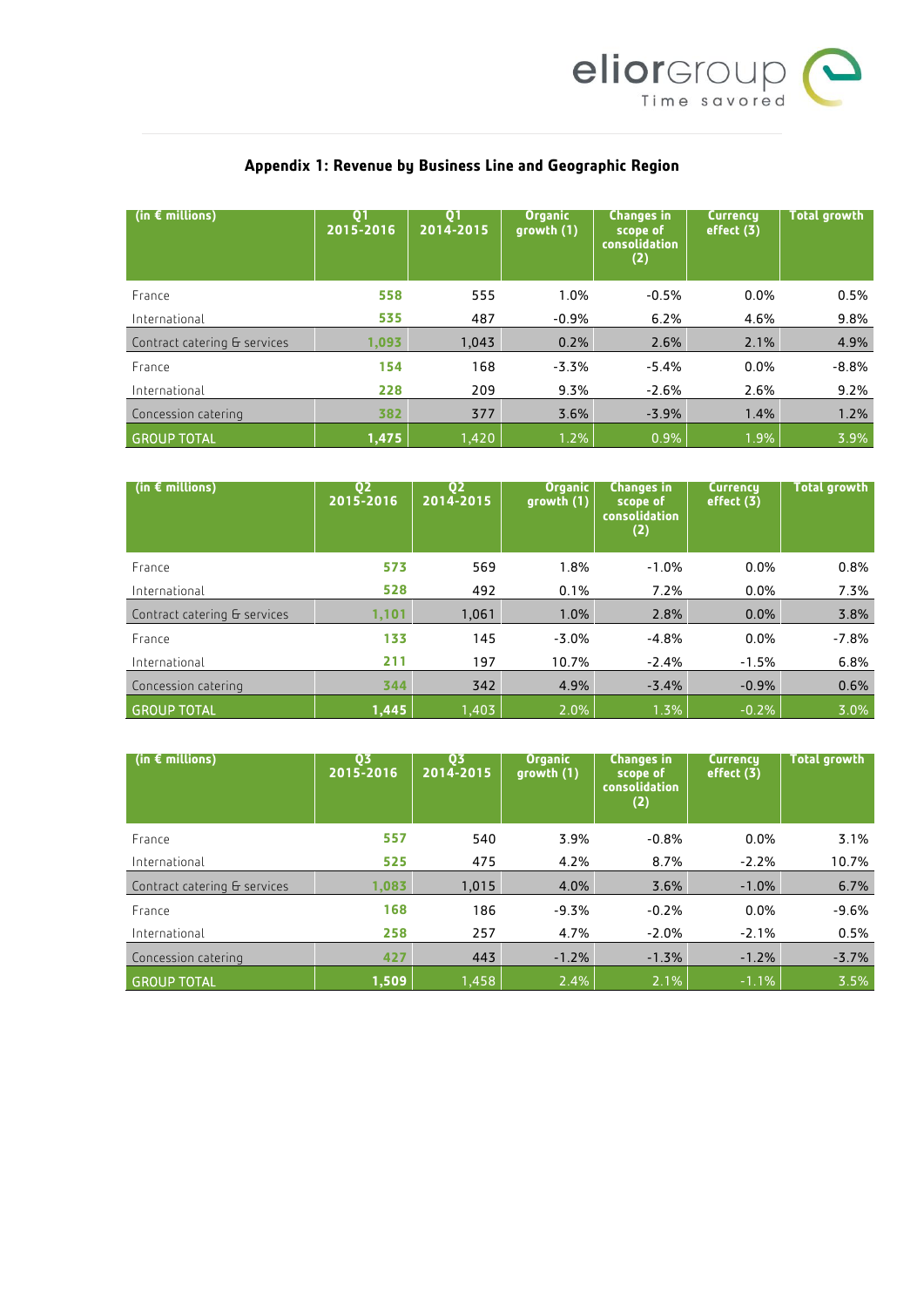

| (in $\epsilon$ millions)     | <b>O1</b><br>2015-2016 | Q1<br>2014-2015 | <b>Organic</b><br>growth (1) | <b>Changes in</b><br>scope of<br>consolidation<br>(2) | <b>Currency</b><br>effect $(3)$ | <b>Total growth</b> |
|------------------------------|------------------------|-----------------|------------------------------|-------------------------------------------------------|---------------------------------|---------------------|
| France                       | 558                    | 555             | 1.0%                         | $-0.5%$                                               | 0.0%                            | 0.5%                |
| International                | 535                    | 487             | $-0.9%$                      | 6.2%                                                  | 4.6%                            | 9.8%                |
| Contract catering & services | 1,093                  | 1,043           | 0.2%                         | 2.6%                                                  | 2.1%                            | 4.9%                |
| France                       | 154                    | 168             | $-3.3%$                      | $-5.4%$                                               | 0.0%                            | $-8.8%$             |
| International                | 228                    | 209             | 9.3%                         | $-2.6%$                                               | 2.6%                            | 9.2%                |
| Concession catering          | 382                    | 377             | 3.6%                         | $-3.9%$                                               | 1.4%                            | 1.2%                |
| <b>GROUP TOTAL</b>           | 1,475                  | 1,420           | 1.2%                         | 0.9%                                                  | 1.9%                            | 3.9%                |

# **Appendix 1: Revenue by Business Line and Geographic Region**

| (in $\epsilon$ millions)     | Q <sub>2</sub><br>2015-2016 | Q <sub>2</sub><br>2014-2015 | <b>Organic</b><br>growth (1) | <b>Changes in</b><br>scope of<br><b>consolidation</b><br>(2) | <b>Currency</b><br>effect (3) | <b>Total growth</b> |
|------------------------------|-----------------------------|-----------------------------|------------------------------|--------------------------------------------------------------|-------------------------------|---------------------|
| France                       | 573                         | 569                         | 1.8%                         | $-1.0%$                                                      | 0.0%                          | 0.8%                |
| International                | 528                         | 492                         | 0.1%                         | 7.2%                                                         | 0.0%                          | 7.3%                |
| Contract catering & services | 1,101                       | 1,061                       | 1.0%                         | 2.8%                                                         | 0.0%                          | 3.8%                |
| France                       | 133                         | 145                         | $-3.0%$                      | $-4.8%$                                                      | 0.0%                          | $-7.8%$             |
| International                | 211                         | 197                         | 10.7%                        | $-2.4%$                                                      | $-1.5%$                       | 6.8%                |
| Concession catering          | 344                         | 342                         | 4.9%                         | $-3.4%$                                                      | $-0.9%$                       | 0.6%                |
| <b>GROUP TOTAL</b>           | 1,445                       | 1,403                       | 2.0%                         | 1.3%                                                         | $-0.2%$                       | 3.0%                |

| (in $\epsilon$ millions)     | 03<br>2015-2016 | 03<br>2014-2015 | <b>Organic</b><br>growth (1) | <b>Changes in</b><br>scope of<br><b>consolidation</b><br>(2) | <b>Currency</b><br>effect (3) | <b>Total growth</b> |
|------------------------------|-----------------|-----------------|------------------------------|--------------------------------------------------------------|-------------------------------|---------------------|
| France                       | 557             | 540             | 3.9%                         | $-0.8%$                                                      | 0.0%                          | 3.1%                |
| International                | 525             | 475             | 4.2%                         | 8.7%                                                         | $-2.2%$                       | 10.7%               |
| Contract catering & services | 1,083           | 1,015           | 4.0%                         | 3.6%                                                         | $-1.0%$                       | 6.7%                |
| France                       | 168             | 186             | $-9.3%$                      | $-0.2%$                                                      | 0.0%                          | $-9.6%$             |
| International                | 258             | 257             | 4.7%                         | $-2.0%$                                                      | $-2.1%$                       | 0.5%                |
| Concession catering          | 427             | 443             | $-1.2%$                      | $-1.3%$                                                      | $-1.2%$                       | $-3.7%$             |
| <b>GROUP TOTAL</b>           | 1,509           | 1,458           | 2.4%                         | 2.1%                                                         | $-1.1%$                       | 3.5%                |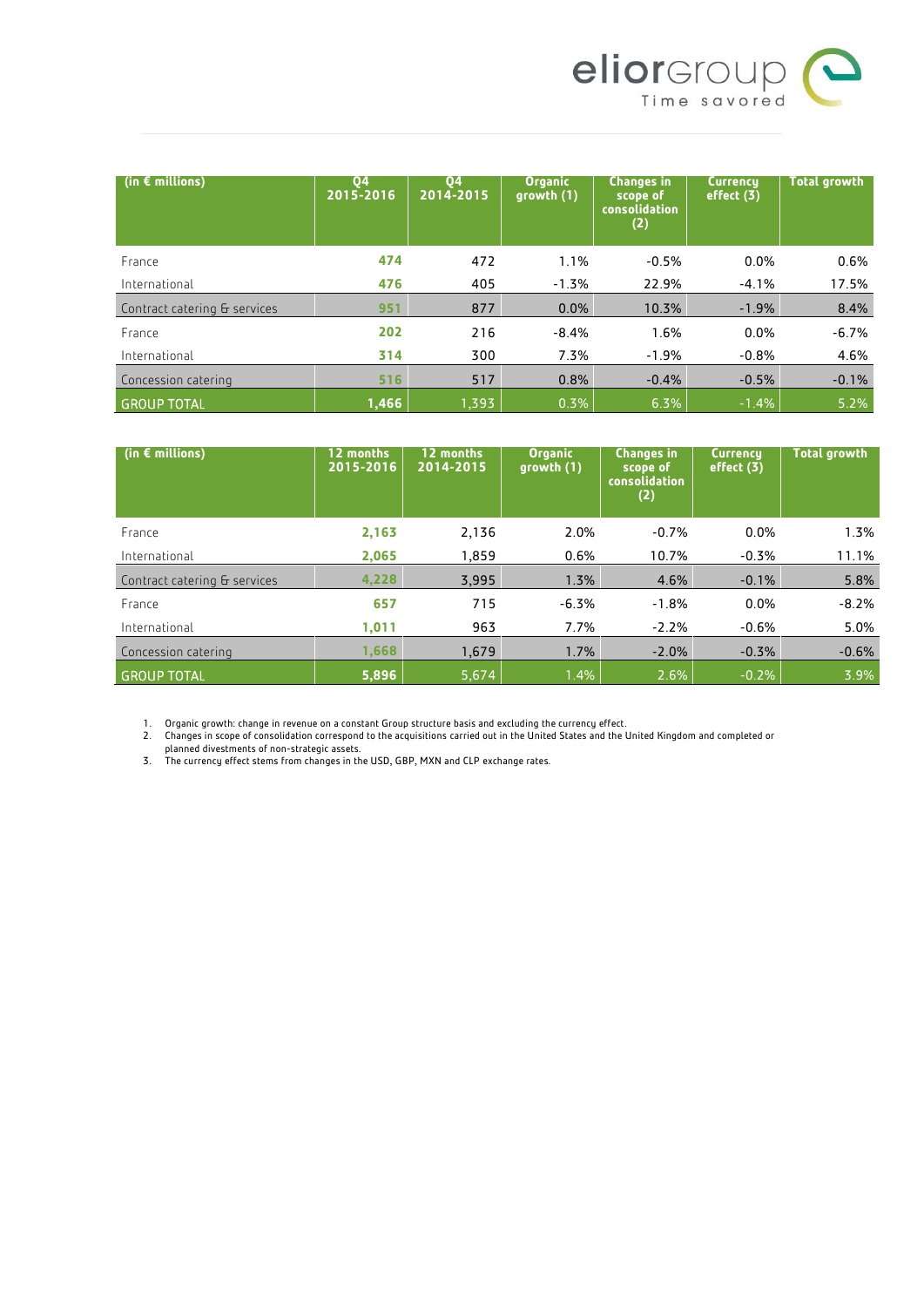

| (in $\epsilon$ millions)     | <b>Q4</b><br>2015-2016 | 04<br>2014-2015 | <b>Organic</b><br>growth (1) | <b>Changes in</b><br>scope of<br><b>consolidation</b><br>(2) | <b>Currency</b><br>effect (3) | <b>Total growth</b> |
|------------------------------|------------------------|-----------------|------------------------------|--------------------------------------------------------------|-------------------------------|---------------------|
| France                       | 474                    | 472             | 1.1%                         | $-0.5%$                                                      | 0.0%                          | 0.6%                |
| International                | 476                    | 405             | $-1.3%$                      | 22.9%                                                        | $-4.1%$                       | 17.5%               |
| Contract catering & services | 951                    | 877             | 0.0%                         | 10.3%                                                        | $-1.9%$                       | 8.4%                |
| France                       | 202                    | 216             | $-8.4%$                      | 1.6%                                                         | 0.0%                          | $-6.7%$             |
| International                | 314                    | 300             | 7.3%                         | $-1.9%$                                                      | $-0.8%$                       | 4.6%                |
| Concession catering          | 516                    | 517             | 0.8%                         | $-0.4%$                                                      | $-0.5%$                       | $-0.1%$             |
| <b>GROUP TOTAL</b>           | 1,466                  | 1,393           | 0.3%                         | 6.3%                                                         | $-1.4%$                       | 5.2%                |

| (in $\epsilon$ millions)     | 12 months<br>2015-2016 | 12 months<br>2014-2015 | <b>Organic</b><br>growth (1) | <b>Changes in</b><br>scope of<br><b>consolidation</b><br>(2) | <b>Currency</b><br>effect (3) | <b>Total growth</b> |
|------------------------------|------------------------|------------------------|------------------------------|--------------------------------------------------------------|-------------------------------|---------------------|
| France                       | 2,163                  | 2,136                  | 2.0%                         | $-0.7%$                                                      | $0.0\%$                       | 1.3%                |
| International                | 2,065                  | 1.859                  | 0.6%                         | 10.7%                                                        | $-0.3%$                       | 11.1%               |
| Contract catering & services | 4,228                  | 3,995                  | 1.3%                         | 4.6%                                                         | $-0.1%$                       | 5.8%                |
| France                       | 657                    | 715                    | $-6.3%$                      | $-1.8%$                                                      | 0.0%                          | $-8.2%$             |
| International                | 1,011                  | 963                    | 7.7%                         | $-2.2%$                                                      | $-0.6%$                       | 5.0%                |
| Concession catering          | 1.668                  | 1,679                  | 1.7%                         | $-2.0%$                                                      | $-0.3%$                       | $-0.6%$             |
| <b>GROUP TOTAL</b>           | 5,896                  | 5,674                  | 1.4%                         | 2.6%                                                         | $-0.2%$                       | 3.9%                |

1. Organic growth: change in revenue on a constant Group structure basis and excluding the currency effect.

2. Changes in scope of consolidation correspond to the acquisitions carried out in the United States and the United Kingdom and completed or

planned divestments of non-strategic assets.

3. The currency effect stems from changes in the USD, GBP, MXN and CLP exchange rates.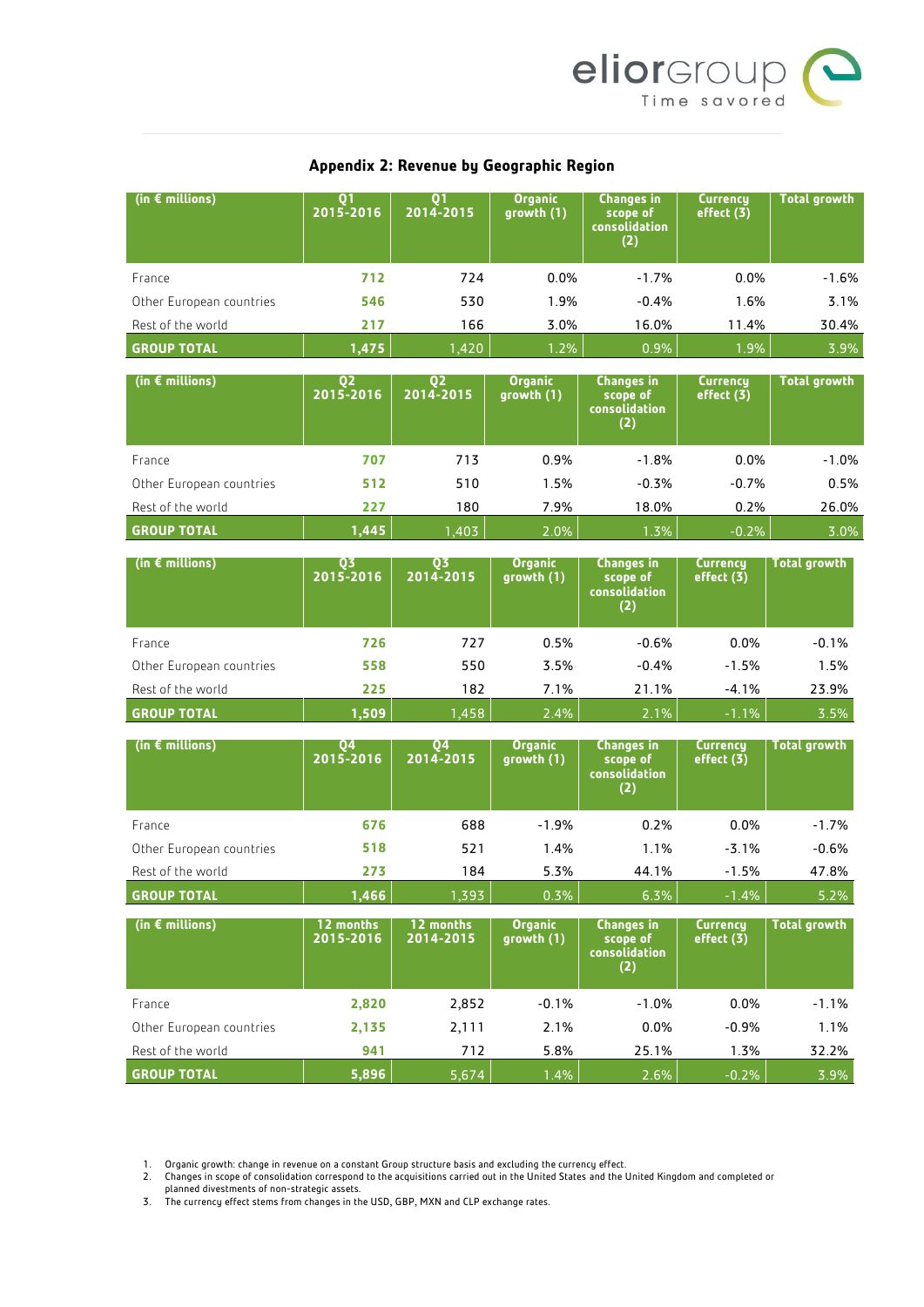

### **Appendix 2: Revenue by Geographic Region**

| (in € millions)          | Q <sub>1</sub><br>2015-2016 | Q <sub>1</sub><br>2014-2015 | <b>Organic</b><br>growth (1) | Changes in<br>scope of<br>consolidation<br>(2)               | <b>Currency</b><br>effect (3) | <b>Total growth</b> |
|--------------------------|-----------------------------|-----------------------------|------------------------------|--------------------------------------------------------------|-------------------------------|---------------------|
| France                   | 712                         | 724                         | 0.0%                         | $-1.7%$                                                      | 0.0%                          | $-1.6%$             |
| Other European countries | 546                         | 530                         | 1.9%                         | $-0.4%$                                                      | 1.6%                          | 3.1%                |
| Rest of the world        | 217                         | 166                         | 3.0%                         | 16.0%                                                        | 11.4%                         | 30.4%               |
| <b>GROUP TOTAL</b>       | 1,475                       | 1,420                       | 1.2%                         | 0.9%                                                         | 1.9%                          | 3.9%                |
| (in $\epsilon$ millions) | Q <sub>2</sub><br>2015-2016 | Q <sub>2</sub><br>2014-2015 | <b>Organic</b><br>growth (1) | <b>Changes in</b><br>scope of<br>consolidation<br>(2)        | <b>Currency</b><br>effect (3) | <b>Total growth</b> |
| France                   | 707                         | 713                         | 0.9%                         | $-1.8%$                                                      | 0.0%                          | $-1.0%$             |
| Other European countries | 512                         | 510                         | 1.5%                         | $-0.3%$                                                      | $-0.7%$                       | 0.5%                |
| Rest of the world        | 227                         | 180                         | 7.9%                         | 18.0%                                                        | 0.2%                          | 26.0%               |
| <b>GROUP TOTAL</b>       | 1,445                       | 1,403                       | 2.0%                         | 1.3%                                                         | $-0.2%$                       | 3.0%                |
| (in $\epsilon$ millions) | Q3<br>2015-2016             | Q3<br>2014-2015             | <b>Organic</b><br>growth (1) | <b>Changes in</b><br>scope of<br><b>consolidation</b><br>(2) | Currency<br>effect (3)        | <b>Total growth</b> |
| France                   | 726                         | 727                         | 0.5%                         | $-0.6%$                                                      | 0.0%                          | $-0.1%$             |
| Other European countries | 558                         | 550                         | 3.5%                         | $-0.4%$                                                      | $-1.5%$                       | 1.5%                |
| Rest of the world        | 225                         | 182                         | 7.1%                         | 21.1%                                                        | $-4.1%$                       | 23.9%               |
| <b>GROUP TOTAL</b>       | 1,509                       | 1,458                       | 2.4%                         | 2.1%                                                         | $-1.1%$                       | 3.5%                |
| (in $\epsilon$ millions) | Q4<br>2015-2016             | 04<br>2014-2015             | <b>Organic</b><br>growth (1) | Changes in<br>scope of<br>consolidation<br>(2)               | Currency<br>effect (3)        | <b>Total growth</b> |
| France                   | 676                         | 688                         | $-1.9%$                      | 0.2%                                                         | 0.0%                          | $-1.7%$             |
| Other European countries | 518                         | 521                         | 1.4%                         | 1.1%                                                         | $-3.1%$                       | $-0.6%$             |
| Rest of the world        | 273                         | 184                         | 5.3%                         | 44.1%                                                        | $-1.5%$                       | 47.8%               |
| <b>GROUP TOTAL</b>       | 1,466                       | 1,393                       | 0.3%                         | 6.3%                                                         | $-1.4%$                       | 5.2%                |
| (in $\epsilon$ millions) | 12 months<br>2015-2016      | 12 months<br>2014-2015      | <b>Organic</b><br>growth (1) | <b>Changes in</b><br>scope of<br>consolidation<br>(2)        | <b>Currency</b><br>effect (3) | <b>Total growth</b> |
| France                   | 2,820                       | 2,852                       | $-0.1%$                      | $-1.0%$                                                      | 0.0%                          | $-1.1%$             |
| Other European countries | 2,135                       | 2,111                       | 2.1%                         | 0.0%                                                         | $-0.9%$                       | 1.1%                |
| Rest of the world        | 941                         | 712                         | 5.8%                         | 25.1%                                                        | 1.3%                          | 32.2%               |

1. Organic growth: change in revenue on a constant Group structure basis and excluding the currency effect.

2. Changes in scope of consolidation correspond to the acquisitions carried out in the United States and the United Kingdom and completed or planned divestments of non-strategic assets.

**GROUP TOTAL 5,896** 5,674 1.4% 2.6% -0.2% 3.9%

3. The currency effect stems from changes in the USD, GBP, MXN and CLP exchange rates.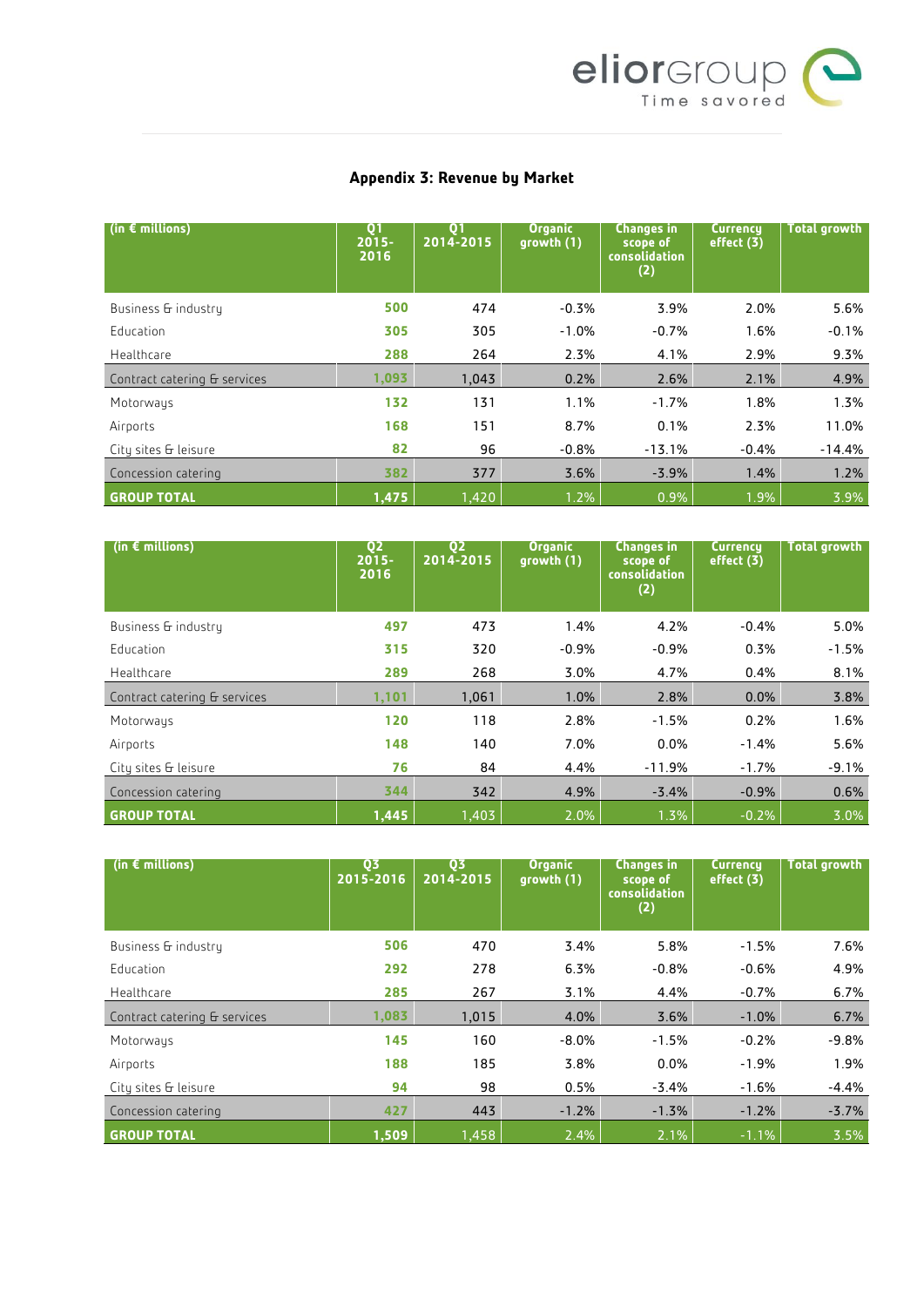

## **Appendix 3: Revenue by Market**

| (in $\epsilon$ millions)     | Q <sub>1</sub><br>$2015 -$<br>2016 | Q <sub>1</sub><br>2014-2015 | <b>Organic</b><br>growth (1) | <b>Changes in</b><br>scope of<br>consolidation<br>(2) | <b>Currency</b><br>effect (3) | Total growth |
|------------------------------|------------------------------------|-----------------------------|------------------------------|-------------------------------------------------------|-------------------------------|--------------|
| Business & industry          | 500                                | 474                         | $-0.3%$                      | 3.9%                                                  | 2.0%                          | 5.6%         |
| Education                    | 305                                | 305                         | $-1.0%$                      | $-0.7%$                                               | 1.6%                          | $-0.1%$      |
| Healthcare                   | 288                                | 264                         | 2.3%                         | 4.1%                                                  | 2.9%                          | 9.3%         |
| Contract catering & services | 1,093                              | 1,043                       | 0.2%                         | 2.6%                                                  | 2.1%                          | 4.9%         |
| Motorways                    | 132                                | 131                         | 1.1%                         | $-1.7%$                                               | 1.8%                          | 1.3%         |
| Airports                     | 168                                | 151                         | 8.7%                         | 0.1%                                                  | 2.3%                          | 11.0%        |
| City sites & leisure         | 82                                 | 96                          | $-0.8%$                      | $-13.1%$                                              | $-0.4%$                       | $-14.4%$     |
| Concession catering          | 382                                | 377                         | 3.6%                         | $-3.9%$                                               | 1.4%                          | 1.2%         |
| <b>GROUP TOTAL</b>           | 1,475                              | 1,420                       | 1.2%                         | 0.9%                                                  | 1.9%                          | 3.9%         |

| (in $\epsilon$ millions)     | Q <sub>2</sub><br>$2015 -$<br>2016 | 02<br>2014-2015 | <b>Organic</b><br>growth (1) | <b>Changes in</b><br>scope of<br>consolidation<br>(2) | <b>Currency</b><br>effect $(3)$ | <b>Total growth</b> |
|------------------------------|------------------------------------|-----------------|------------------------------|-------------------------------------------------------|---------------------------------|---------------------|
| Business & industry          | 497                                | 473             | 1.4%                         | 4.2%                                                  | $-0.4%$                         | 5.0%                |
| Education                    | 315                                | 320             | $-0.9%$                      | $-0.9%$                                               | 0.3%                            | $-1.5%$             |
| Healthcare                   | 289                                | 268             | 3.0%                         | 4.7%                                                  | 0.4%                            | 8.1%                |
| Contract catering & services | 1,101                              | 1,061           | 1.0%                         | 2.8%                                                  | 0.0%                            | 3.8%                |
| Motorways                    | 120                                | 118             | 2.8%                         | $-1.5%$                                               | 0.2%                            | 1.6%                |
| Airports                     | 148                                | 140             | 7.0%                         | $0.0\%$                                               | $-1.4%$                         | 5.6%                |
| City sites & leisure         | 76                                 | 84              | 4.4%                         | $-11.9%$                                              | $-1.7%$                         | $-9.1%$             |
| Concession catering          | 344                                | 342             | 4.9%                         | $-3.4%$                                               | $-0.9%$                         | 0.6%                |
| <b>GROUP TOTAL</b>           | 1,445                              | 1,403           | 2.0%                         | 1.3%                                                  | $-0.2%$                         | 3.0%                |

| (in $\epsilon$ millions)     | 03<br>2015-2016 | 03<br>$2014 - 2015$ | <b>Organic</b><br>growth (1) | <b>Changes in</b><br>scope of<br>consolidation<br>(2) | <b>Currency</b><br>effect (3) | <b>Total growth</b> |
|------------------------------|-----------------|---------------------|------------------------------|-------------------------------------------------------|-------------------------------|---------------------|
| Business & industry          | 506             | 470                 | 3.4%                         | 5.8%                                                  | $-1.5%$                       | 7.6%                |
| Education                    | 292             | 278                 | 6.3%                         | $-0.8%$                                               | $-0.6%$                       | 4.9%                |
| Healthcare                   | 285             | 267                 | 3.1%                         | 4.4%                                                  | $-0.7%$                       | 6.7%                |
| Contract catering & services | 1,083           | 1,015               | 4.0%                         | 3.6%                                                  | $-1.0%$                       | 6.7%                |
| Motorways                    | 145             | 160                 | $-8.0%$                      | $-1.5%$                                               | $-0.2%$                       | $-9.8%$             |
| Airports                     | 188             | 185                 | 3.8%                         | 0.0%                                                  | $-1.9%$                       | 1.9%                |
| City sites & leisure         | 94              | 98                  | 0.5%                         | $-3.4%$                                               | $-1.6%$                       | $-4.4%$             |
| Concession catering          | 427             | 443                 | $-1.2%$                      | $-1.3%$                                               | $-1.2%$                       | $-3.7%$             |
| <b>GROUP TOTAL</b>           | 1,509           | 1,458               | 2.4%                         | 2.1%                                                  | $-1.1%$                       | 3.5%                |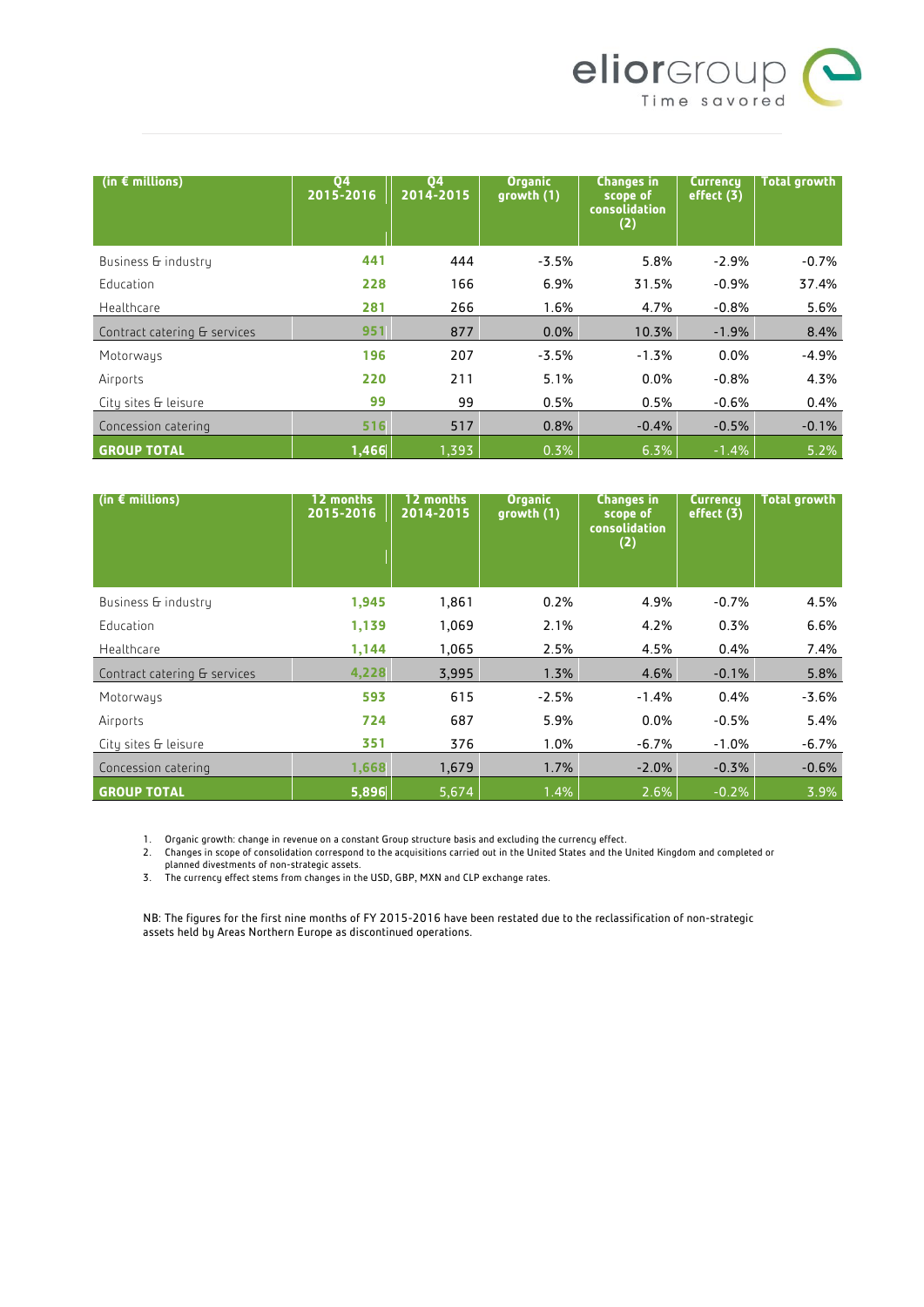

| (in $\epsilon$ millions)     | 04<br>$\overline{2015-2016}$ | 04<br>2014-2015 | <b>Organic</b><br>growth (1) | <b>Changes in</b><br>scope of<br><b>consolidation</b><br>(2) | <b>Currency</b><br>effect (3) | <b>Total growth</b> |
|------------------------------|------------------------------|-----------------|------------------------------|--------------------------------------------------------------|-------------------------------|---------------------|
| Business & industry          | 441                          | 444             | $-3.5%$                      | 5.8%                                                         | $-2.9%$                       | $-0.7%$             |
| Education                    | 228                          | 166             | 6.9%                         | 31.5%                                                        | $-0.9%$                       | 37.4%               |
| Healthcare                   | 281                          | 266             | 1.6%                         | 4.7%                                                         | $-0.8%$                       | 5.6%                |
| Contract catering & services | 951                          | 877             | 0.0%                         | 10.3%                                                        | $-1.9%$                       | 8.4%                |
| Motorways                    | 196                          | 207             | $-3.5%$                      | $-1.3%$                                                      | 0.0%                          | $-4.9%$             |
| Airports                     | 220                          | 211             | 5.1%                         | 0.0%                                                         | $-0.8%$                       | 4.3%                |
| City sites & leisure         | 99                           | 99              | 0.5%                         | 0.5%                                                         | $-0.6%$                       | 0.4%                |
| Concession catering          | 516                          | 517             | 0.8%                         | $-0.4%$                                                      | $-0.5%$                       | $-0.1%$             |
| <b>GROUP TOTAL</b>           | 1,466                        | 1,393           | 0.3%                         | 6.3%                                                         | $-1.4%$                       | 5.2%                |

| (in $\epsilon$ millions)     | 12 months<br>2015-2016 | 12 months<br>2014-2015 | <b>Organic</b><br>growth (1) | <b>Changes in</b><br>scope of<br>consolidation<br>(2) | Currency<br>effect (3) | <b>Total growth</b> |
|------------------------------|------------------------|------------------------|------------------------------|-------------------------------------------------------|------------------------|---------------------|
| Business & industry          | 1,945                  | 1,861                  | 0.2%                         | 4.9%                                                  | $-0.7%$                | 4.5%                |
| Education                    | 1,139                  | 1,069                  | 2.1%                         | 4.2%                                                  | 0.3%                   | 6.6%                |
| Healthcare                   | 1,144                  | 1,065                  | 2.5%                         | 4.5%                                                  | 0.4%                   | 7.4%                |
| Contract catering & services | 4,228                  | 3,995                  | 1.3%                         | 4.6%                                                  | $-0.1%$                | 5.8%                |
| Motorways                    | 593                    | 615                    | $-2.5%$                      | $-1.4%$                                               | 0.4%                   | $-3.6%$             |
| Airports                     | 724                    | 687                    | 5.9%                         | 0.0%                                                  | $-0.5%$                | 5.4%                |
| City sites & leisure         | 351                    | 376                    | 1.0%                         | $-6.7%$                                               | $-1.0%$                | $-6.7%$             |
| Concession catering          | 1,668                  | 1,679                  | 1.7%                         | $-2.0%$                                               | $-0.3%$                | $-0.6%$             |
| <b>GROUP TOTAL</b>           | 5,896                  | 5,674                  | 1.4%                         | 2.6%                                                  | $-0.2%$                | 3.9%                |

1. Organic growth: change in revenue on a constant Group structure basis and excluding the currency effect.

2. Changes in scope of consolidation correspond to the acquisitions carried out in the United States and the United Kingdom and completed or planned divestments of non-strategic assets.

3. The currency effect stems from changes in the USD, GBP, MXN and CLP exchange rates.

NB: The figures for the first nine months of FY 2015-2016 have been restated due to the reclassification of non-strategic assets held by Areas Northern Europe as discontinued operations.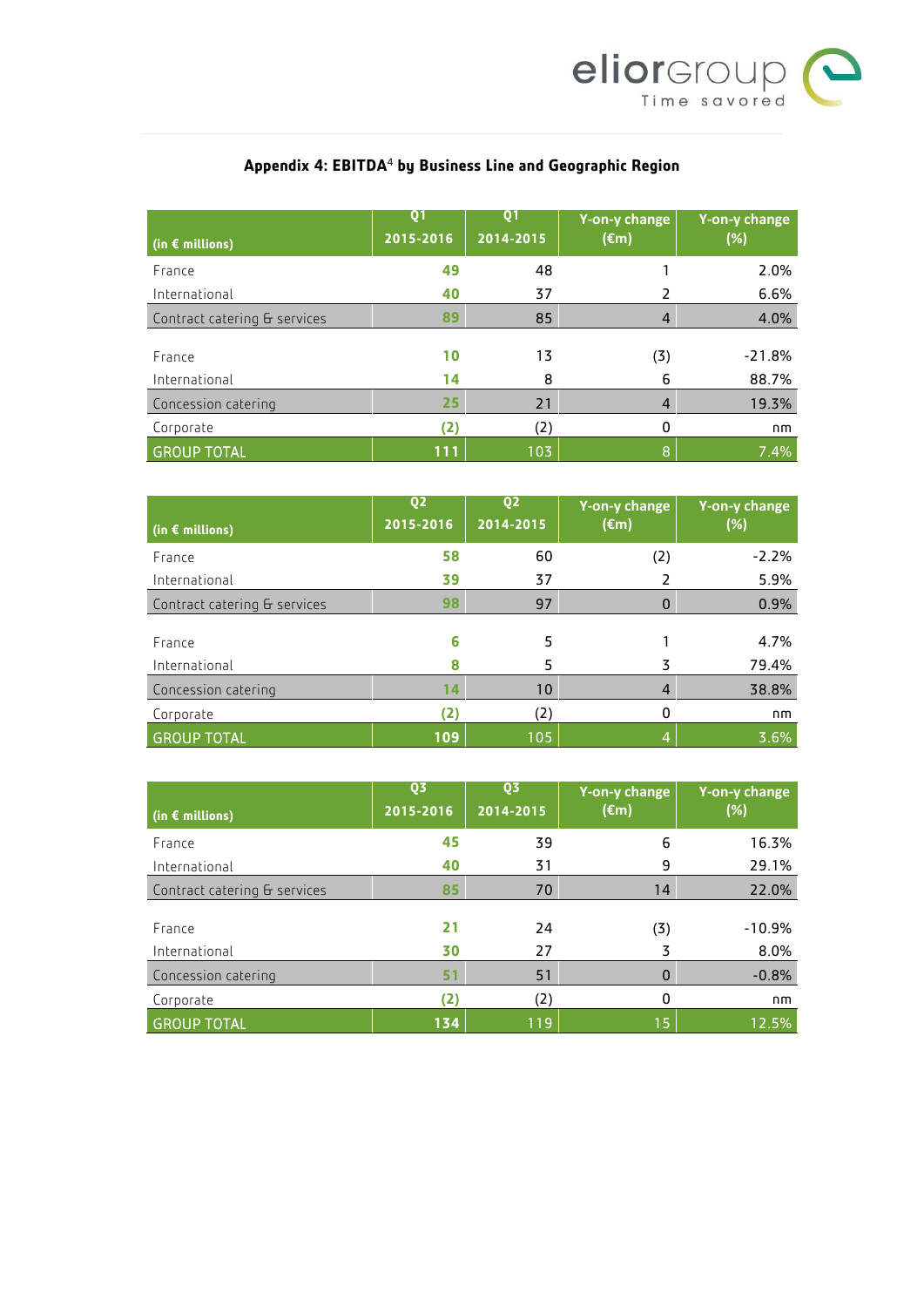

# **Appendix 4: EBITDA**<sup>4</sup> **by Business Line and Geographic Region**

| (in $\epsilon$ millions)     | Q <sub>1</sub><br>2015-2016 | Q <sub>1</sub><br>2014-2015 | Y-on-y change<br>(€m) | Y-on-y change<br>(%) |
|------------------------------|-----------------------------|-----------------------------|-----------------------|----------------------|
| France                       | 49                          | 48                          |                       | 2.0%                 |
| International                | 40                          | 37                          |                       | 6.6%                 |
| Contract catering & services | 89                          | 85                          | $\overline{4}$        | 4.0%                 |
| France<br>International      | 10<br>14                    | 13<br>8                     | (3)<br>6              | $-21.8%$<br>88.7%    |
| Concession catering          | 25                          | 21                          | 4                     | 19.3%                |
| Corporate                    | (2)                         | (2)                         | 0                     | nm                   |
| <b>GROUP TOTAL</b>           | 111                         | 103                         | ß.                    | 7.4%                 |

| (in $\epsilon$ millions)     | Q <sub>2</sub><br>2015-2016 | Q <sub>2</sub><br>2014-2015 | Y-on-y change<br>$(\epsilon m)$ | Y-on-y change<br>(%) |
|------------------------------|-----------------------------|-----------------------------|---------------------------------|----------------------|
| France                       | 58                          | 60                          | (2)                             | $-2.2%$              |
| International                | 39                          | 37                          |                                 | 5.9%                 |
| Contract catering & services | 98                          | 97                          | 0                               | 0.9%                 |
| France                       | 6                           | 5                           |                                 | 4.7%                 |
| International                | 8                           | 5                           | 3                               | 79.4%                |
| Concession catering          | 14                          | 10                          | 4                               | 38.8%                |
| Corporate                    | (2)                         | (2)                         | 0                               | nm                   |
| <b>GROUP TOTAL</b>           | 109                         | 105                         | 4                               | 3.6%                 |

| (in $\epsilon$ millions)     | Q3<br>2015-2016 | Q3<br>2014-2015 | Y-on-y change<br>$(\epsilon m)$ | Y-on-y change<br>(%) |
|------------------------------|-----------------|-----------------|---------------------------------|----------------------|
| France                       | 45              | 39              | 6                               | 16.3%                |
| International                | 40              | 31              | 9                               | 29.1%                |
| Contract catering & services | 85              | 70              | 14                              | 22.0%                |
| France                       | 21              | 24              | (3)                             | $-10.9%$             |
| International                | 30              | 27              | 3                               | 8.0%                 |
| Concession catering          | 51              | 51              | 0                               | $-0.8%$              |
| Corporate                    | (2)             | (2)             | 0                               | nm                   |
| <b>GROUP TOTAL</b>           | 134             | 119             | 15                              | 12.5%                |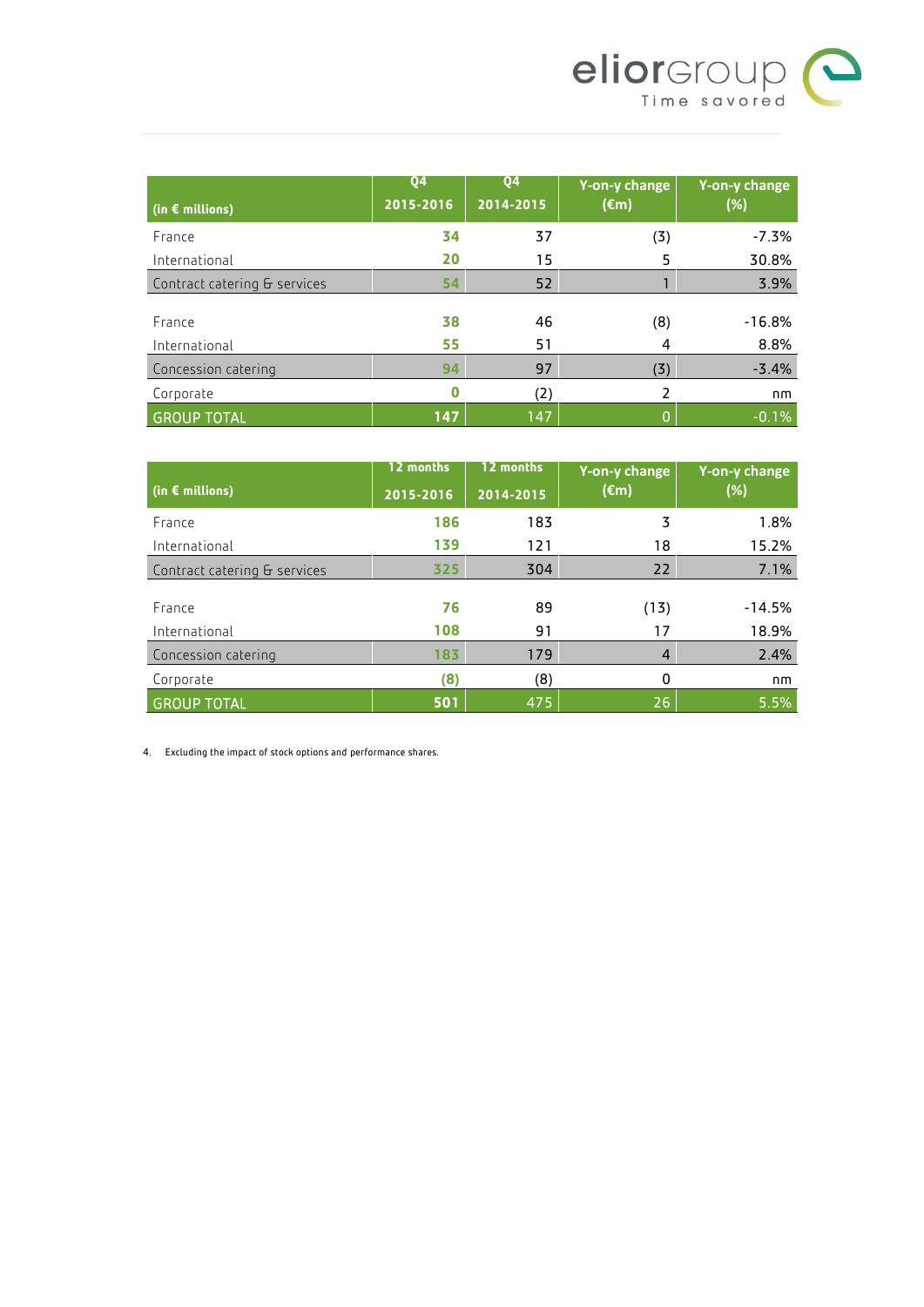

| (in $\epsilon$ millions)     | <b>Q4</b><br>2015-2016 | Q <sub>4</sub><br>2014-2015 | Y-on-y change<br>$(\epsilon m)$ | Y-on-y change<br>(%) |
|------------------------------|------------------------|-----------------------------|---------------------------------|----------------------|
| France                       | 34                     | 37                          | (3)                             | $-7.3%$              |
| International                | 20                     | 15                          | 5                               | 30.8%                |
| Contract catering & services | 54                     | 52                          |                                 | 3.9%                 |
| France                       | 38                     | 46                          | (8)                             | $-16.8%$             |
| International                | 55                     | 51                          | 4                               | 8.8%                 |
| Concession catering          | 94                     | 97                          | (3)                             | $-3.4%$              |
| Corporate                    | Ω                      | (2)                         | 2                               | nm                   |
| <b>GROUP TOTAL</b>           | 147                    | 147                         | O                               | $-0.1%$              |

|                              | 12 months | 12 months | Y-on-y change  | Y-on-y change |
|------------------------------|-----------|-----------|----------------|---------------|
| (in $\epsilon$ millions)     | 2015-2016 | 2014-2015 | $(\epsilon m)$ | (%)           |
| France                       | 186       | 183       | 3              | 1.8%          |
| International                | 139       | 121       | 18             | 15.2%         |
| Contract catering & services | 325       | 304       | 22             | 7.1%          |
|                              |           |           |                |               |
| France                       | 76        | 89        | (13)           | $-14.5%$      |
| International                | 108       | 91        | 17             | 18.9%         |
| Concession catering          | 183       | 179       | $\overline{4}$ | 2.4%          |
| Corporate                    | (8)       | (8)       | 0              | nm            |
| <b>GROUP TOTAL</b>           | 501       | 475       | 26             | 5.5%          |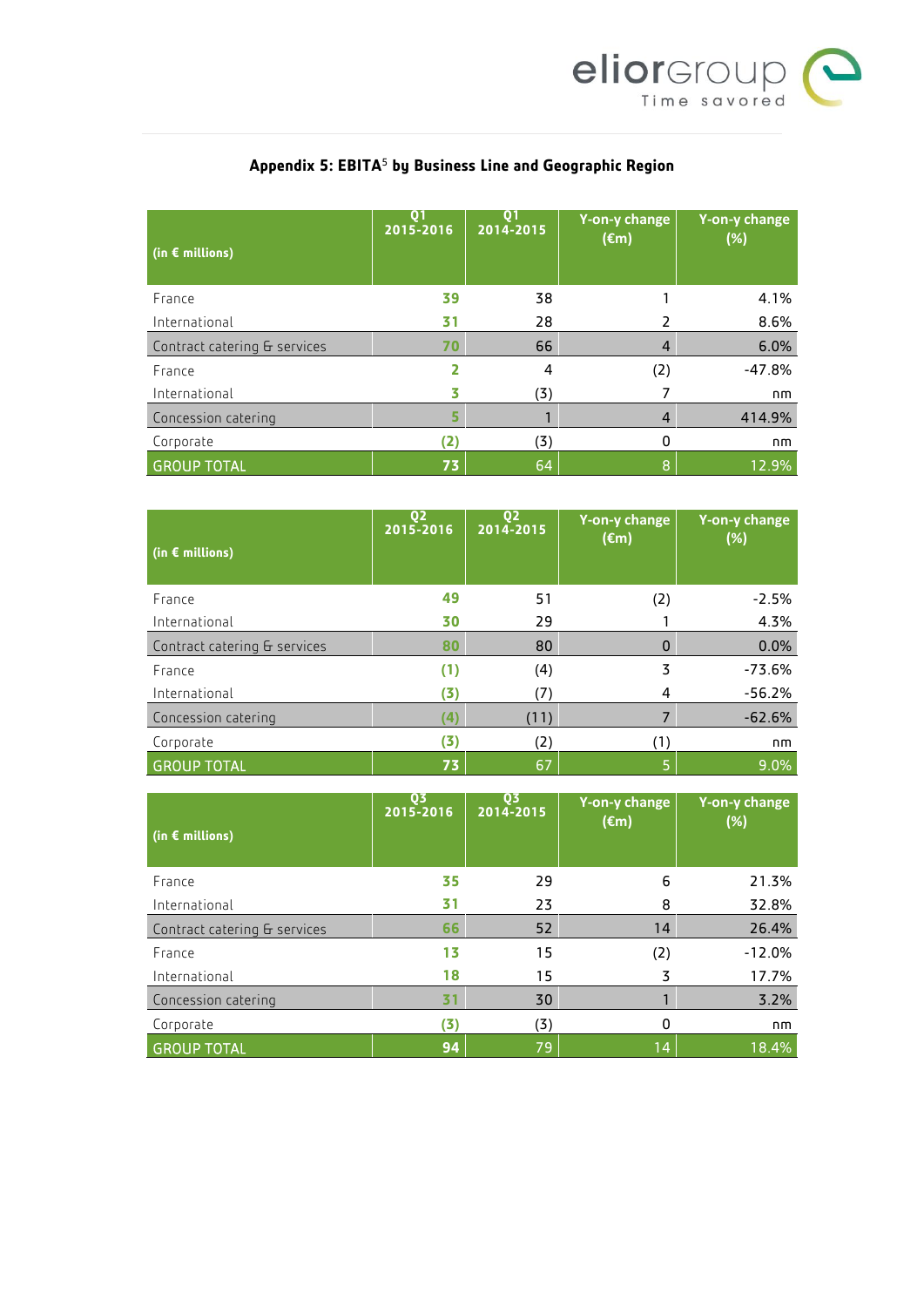

| $\mid$ (in $\epsilon$ millions) | $\mathbf{O}$<br>2015-2016 | 01<br>2014-2015 | Y-on-y change<br>$(\epsilon m)$ | Y-on-y change<br>(%) |
|---------------------------------|---------------------------|-----------------|---------------------------------|----------------------|
| France                          | 39                        | 38              |                                 | 4.1%                 |
| International                   | 31                        | 28              |                                 | 8.6%                 |
| Contract catering & services    | 70                        | 66              | 4                               | 6.0%                 |
| France                          |                           | 4               | (2)                             | $-47.8%$             |
| International                   |                           | (3)             |                                 | nm                   |
| Concession catering             | 5                         |                 | 4                               | 414.9%               |
| Corporate                       | (2)                       | (3)             | 0                               | nm                   |
| <b>GROUP TOTAL</b>              | 73                        | 64              | 8                               | 12.9%                |

# **Appendix 5: EBITA**<sup>5</sup> **by Business Line and Geographic Region**

| (in $\epsilon$ millions)     | Q <sub>2</sub><br>2015-2016 | Q <sub>2</sub><br>2014-2015 | Y-on-y change<br>$(\epsilon m)$ | Y-on-y change<br>(%) |
|------------------------------|-----------------------------|-----------------------------|---------------------------------|----------------------|
| France                       | 49                          | 51                          | (2)                             | $-2.5%$              |
| International                | 30                          | 29                          |                                 | 4.3%                 |
| Contract catering & services | 80                          | 80                          |                                 | 0.0%                 |
| France                       | (1)                         | (4)                         | 3                               | $-73.6%$             |
| International                | (3)                         | 7                           | 4                               | $-56.2%$             |
| Concession catering          | (4)                         | (11)                        |                                 | $-62.6%$             |
| Corporate                    | (3)                         | (2)                         | (1)                             | nm                   |
| <b>GROUP TOTAL</b>           | 73                          | 67                          | 5                               | 9.0%                 |

| (in $\epsilon$ millions)     | 03<br>2015-2016 | Q3<br>2014-2015 | Y-on-y change<br>$(\epsilon m)$ | Y-on-y change<br>(%) |
|------------------------------|-----------------|-----------------|---------------------------------|----------------------|
| France                       | 35              | 29              | 6                               | 21.3%                |
| International                | 31              | 23              | 8                               | 32.8%                |
| Contract catering & services | 66              | 52              | 14                              | 26.4%                |
| France                       | 13              | 15              | (2)                             | $-12.0%$             |
| International                | 18              | 15              | 3                               | 17.7%                |
| Concession catering          | 31              | 30              |                                 | 3.2%                 |
| Corporate                    | (5)             | (3)             | 0                               | nm                   |
| <b>GROUP TOTAL</b>           | 94              | 79              | 14                              | 18.4%                |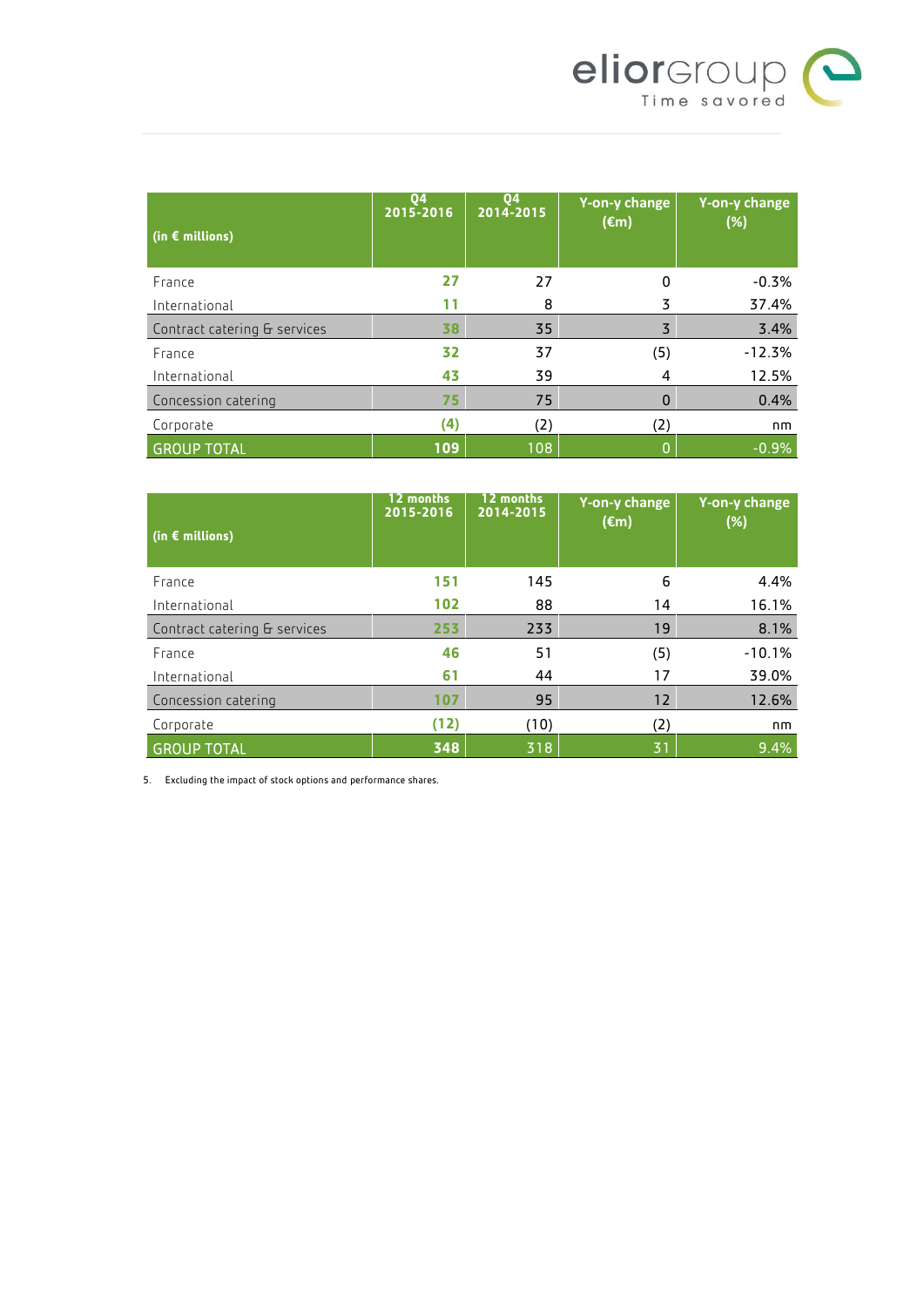

| (in $\epsilon$ millions)     | 04<br>2015-2016 | 04<br>2014-2015 | Y-on-y change<br>$(\epsilon m)$ | Y-on-y change<br>(%) |
|------------------------------|-----------------|-----------------|---------------------------------|----------------------|
| France                       | 27              | 27              | 0                               | $-0.3%$              |
| International                |                 | 8               | 3                               | 37.4%                |
| Contract catering & services | 38              | 35              | 3                               | 3.4%                 |
| France                       | 32              | 37              | (5)                             | $-12.3%$             |
| International                | 43              | 39              | 4                               | 12.5%                |
| Concession catering          | 75              | 75              | 0                               | 0.4%                 |
| Corporate                    | (4)             | (2)             | (2)                             | nm                   |
| <b>GROUP TOTAL</b>           | 109             | 108             |                                 | $-0.9%$              |

| (in $\epsilon$ millions)     | 12 months<br>2015-2016 | 12 months<br>2014-2015 | Y-on-y change<br>$(\epsilon m)$ | Y-on-y change<br>(%) |
|------------------------------|------------------------|------------------------|---------------------------------|----------------------|
| France                       | 151                    | 145                    | 6                               | 4.4%                 |
| International                | 102                    | 88                     | 14                              | 16.1%                |
| Contract catering & services | 253                    | 233                    | 19                              | 8.1%                 |
| France                       | 46                     | 51                     | (5)                             | $-10.1%$             |
| International                | 61                     | 44                     | 17                              | 39.0%                |
| Concession catering          | 107                    | 95                     | 12                              | 12.6%                |
| Corporate                    | (12)                   | (10)                   | (2)                             | nm                   |
| <b>GROUP TOTAL</b>           | 348                    | 318                    | 31                              | 9.4%                 |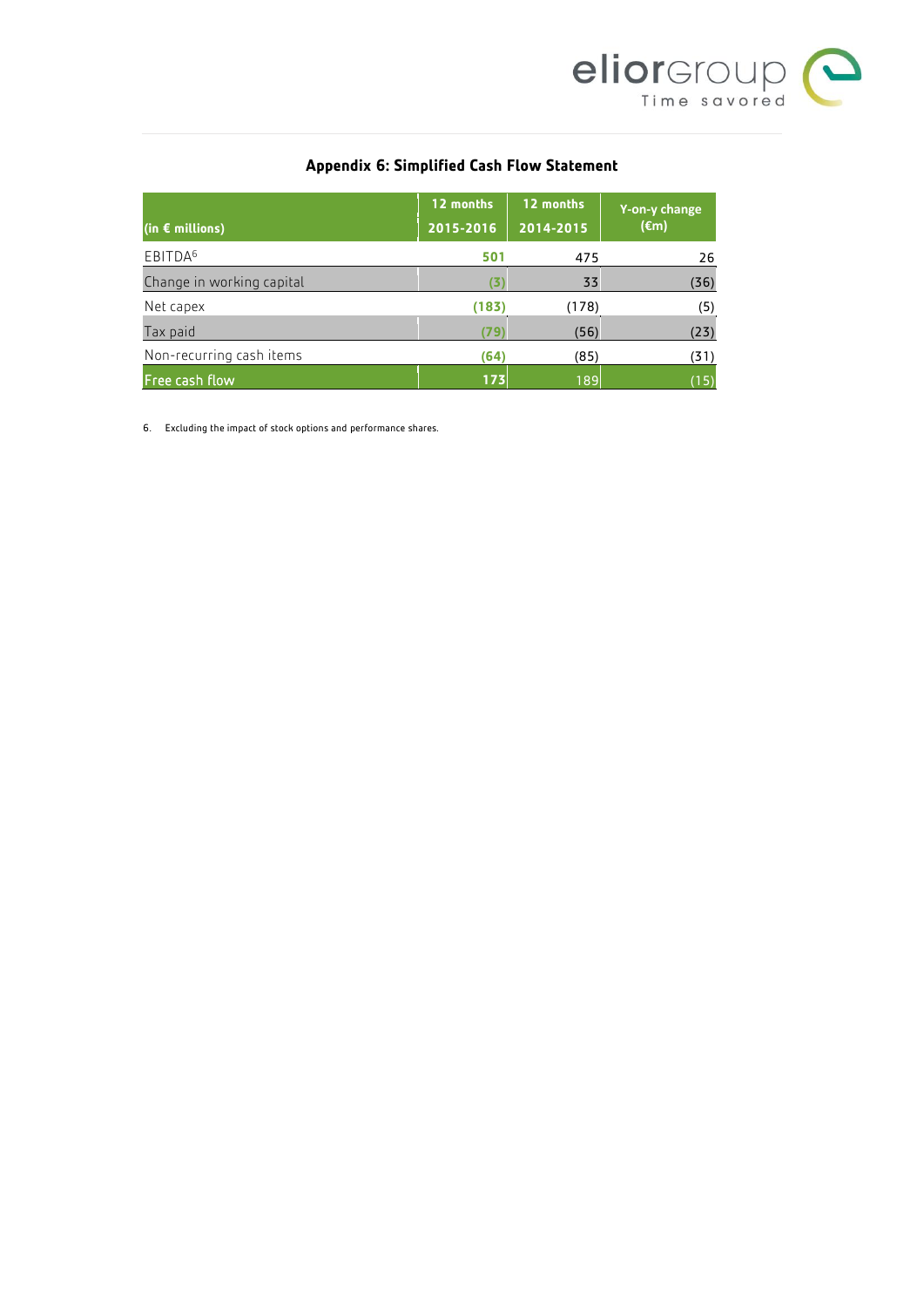

# **Appendix 6: Simplified Cash Flow Statement**

| $ $ (in € millions)       | 12 months<br>2015-2016 | 12 months<br>2014-2015 | Y-on-y change<br>$(\epsilon m)$ |
|---------------------------|------------------------|------------------------|---------------------------------|
| EBITDA <sup>6</sup>       | 501                    | 475                    | 26                              |
| Change in working capital | 13                     | 33                     | (36)                            |
| Net capex                 | (183)                  | 178)                   | (5)                             |
| Tax paid                  | (79)                   | (56)                   | (23)                            |
| Non-recurring cash items  | (64)                   | (85)                   | (31)                            |
| Free cash flow            | 173                    | 189                    | (15)                            |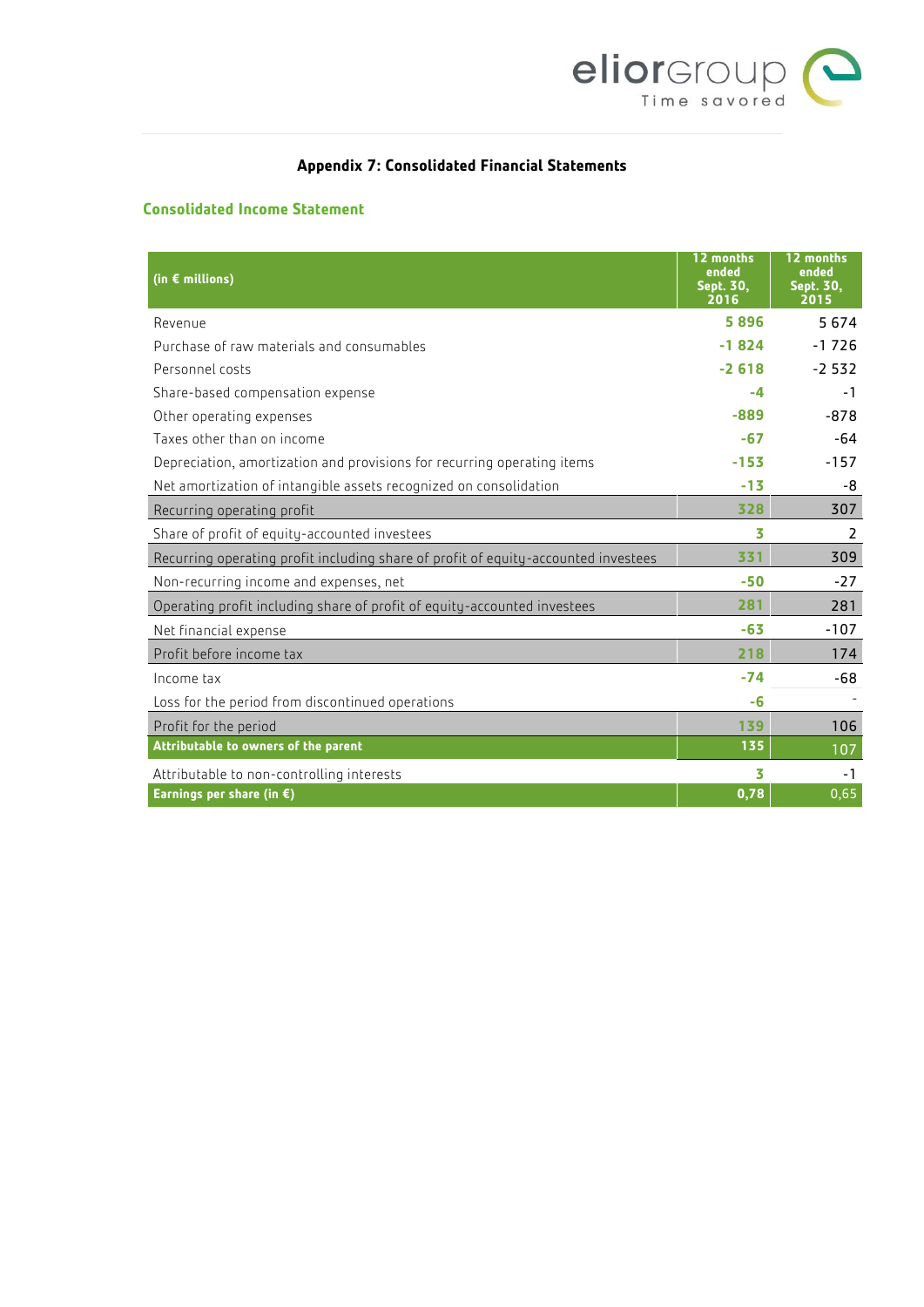

# **Appendix 7: Consolidated Financial Statements**

# **Consolidated Income Statement**

| (in $\epsilon$ millions)                                                           | 12 months<br>ended<br><b>Sept. 30,</b><br>2016 | 12 months<br>ended<br>Sept. 30,<br>2015 |
|------------------------------------------------------------------------------------|------------------------------------------------|-----------------------------------------|
| Revenue                                                                            | 5896                                           | 5674                                    |
| Purchase of raw materials and consumables                                          | $-1824$                                        | $-1726$                                 |
| Personnel costs                                                                    | $-2618$                                        | $-2532$                                 |
| Share-based compensation expense                                                   | -4                                             | $-1$                                    |
| Other operating expenses                                                           | $-889$                                         | $-878$                                  |
| Taxes other than on income                                                         | $-67$                                          | -64                                     |
| Depreciation, amortization and provisions for recurring operating items            | $-153$                                         | $-157$                                  |
| Net amortization of intangible assets recognized on consolidation                  | $-13$                                          | -8                                      |
| Recurring operating profit                                                         | 328                                            | 307                                     |
| Share of profit of equity-accounted investees                                      | 3                                              | 2                                       |
| Recurring operating profit including share of profit of equity-accounted investees | 331                                            | 309                                     |
| Non-recurring income and expenses, net                                             | $-50$                                          | $-27$                                   |
| Operating profit including share of profit of equity-accounted investees           | 281                                            | 281                                     |
| Net financial expense                                                              | $-63$                                          | $-107$                                  |
| Profit before income tax                                                           | 218                                            | 174                                     |
| Income tax                                                                         | $-74$                                          | $-68$                                   |
| Loss for the period from discontinued operations                                   | -6                                             |                                         |
| Profit for the period                                                              | 139                                            | 106                                     |
| Attributable to owners of the parent                                               | 135                                            | 107                                     |
| Attributable to non-controlling interests                                          | 3                                              | -1                                      |
| Earnings per share (in $\epsilon$ )                                                | 0,78                                           | 0,65                                    |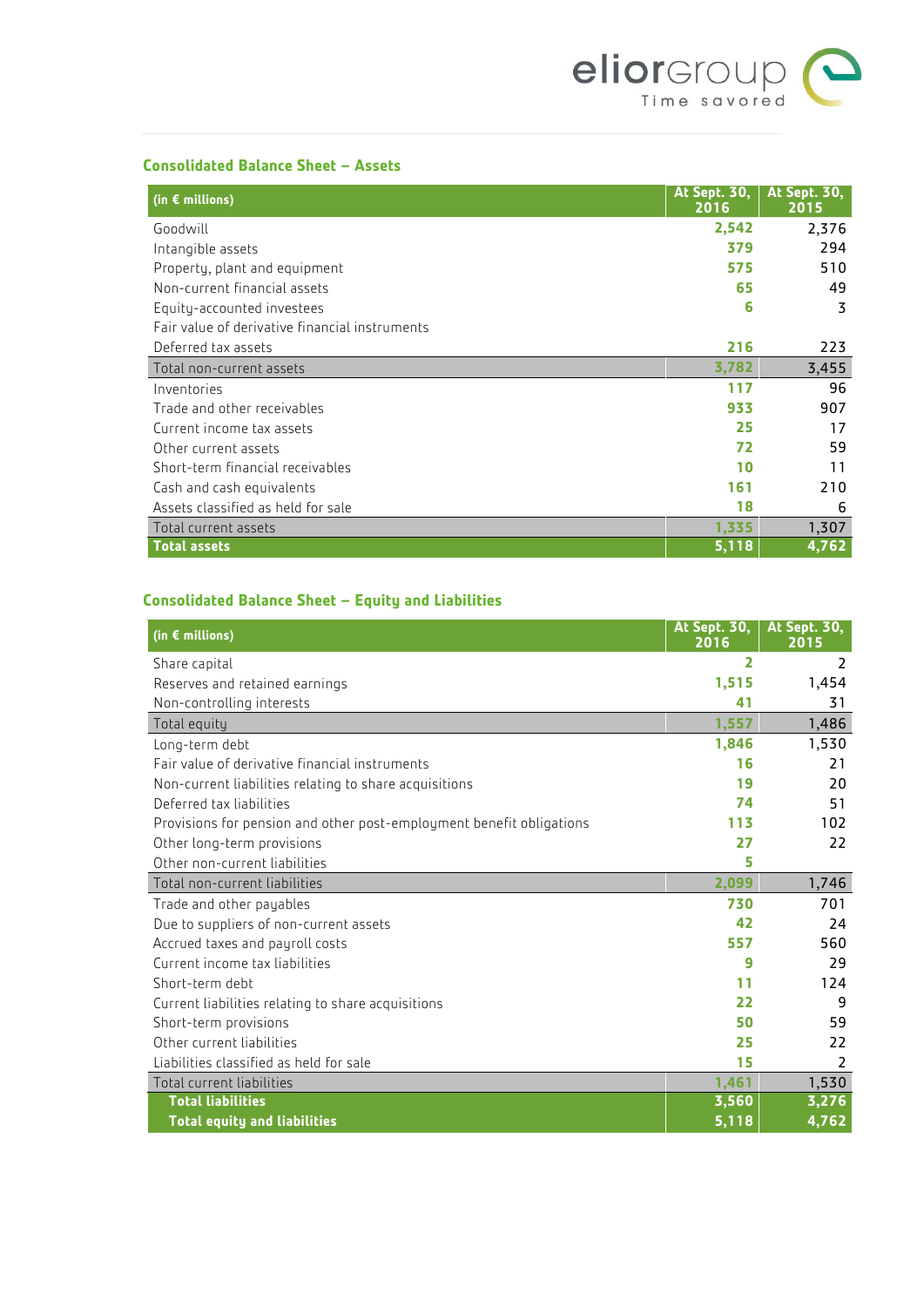

## **Consolidated Balance Sheet – Assets**

| (in $\epsilon$ millions)                       | <b>At Sept. 30.</b><br>2016 | <b>At Sept. 30,</b><br>2015 |
|------------------------------------------------|-----------------------------|-----------------------------|
| Goodwill                                       | 2,542                       | 2,376                       |
| Intangible assets                              | 379                         | 294                         |
| Property, plant and equipment                  | 575                         | 510                         |
| Non-current financial assets                   | 65                          | 49                          |
| Equity-accounted investees                     | 6                           | 3                           |
| Fair value of derivative financial instruments |                             |                             |
| Deferred tax assets                            | 216                         | 223                         |
| Total non-current assets                       | 3,782                       | 3,455                       |
| Inventories                                    | 117                         | 96                          |
| Trade and other receivables                    | 933                         | 907                         |
| Current income tax assets                      | 25                          | 17                          |
| Other current assets                           | 72                          | 59                          |
| Short-term financial receivables               | 10                          | 11                          |
| Cash and cash equivalents                      | 161                         | 210                         |
| Assets classified as held for sale             | 18                          | 6                           |
| Total current assets                           | 1,335                       | 1,307                       |
| <b>Total assets</b>                            | 5,118                       | 4,762                       |

# **Consolidated Balance Sheet – Equity and Liabilities**

| (in $\epsilon$ millions)                                             | <b>At Sept. 30,</b><br>2016 | <b>At Sept. 30,</b><br>2015 |
|----------------------------------------------------------------------|-----------------------------|-----------------------------|
| Share capital                                                        | 2                           | 2                           |
| Reserves and retained earnings                                       | 1,515                       | 1,454                       |
| Non-controlling interests                                            | 41                          | 31                          |
| Total equity                                                         | 1,557                       | 1,486                       |
| Long-term debt                                                       | 1,846                       | 1,530                       |
| Fair value of derivative financial instruments                       | 16                          | 21                          |
| Non-current liabilities relating to share acquisitions               | 19                          | 20                          |
| Deferred tax liabilities                                             | 74                          | 51                          |
| Provisions for pension and other post-employment benefit obligations | 113                         | 102                         |
| Other long-term provisions                                           | 27                          | 22                          |
| Other non-current liabilities                                        | 5                           |                             |
| Total non-current liabilities                                        | 2,099                       | 1,746                       |
| Trade and other payables                                             | 730                         | 701                         |
| Due to suppliers of non-current assets                               | 42                          | 24                          |
| Accrued taxes and payroll costs                                      | 557                         | 560                         |
| Current income tax liabilities                                       | 9                           | 29                          |
| Short-term debt                                                      | 11                          | 124                         |
| Current liabilities relating to share acquisitions                   | 22                          | 9                           |
| Short-term provisions                                                | 50                          | 59                          |
| Other current liabilities                                            | 25                          | 22                          |
| Liabilities classified as held for sale                              | 15                          | 2                           |
| Total current liabilities                                            | 1,461                       | 1,530                       |
| <b>Total liabilities</b>                                             | 3,560                       | 3,276                       |
| <b>Total equity and liabilities</b>                                  | $\overline{5,118}$          | 4,762                       |